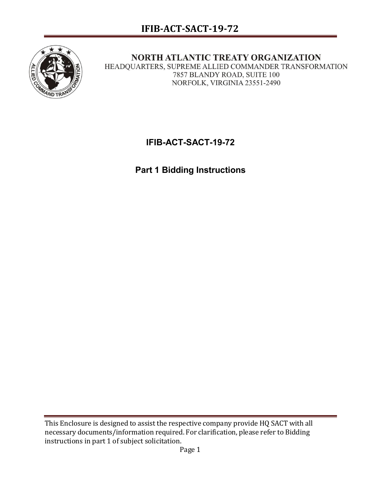

NORTH ATLANTIC TREATY ORGANIZATION HEADQUARTERS, SUPREME ALLIED COMMANDER TRANSFORMATION 7857 BLANDY ROAD, SUITE 100 NORFOLK, VIRGINIA 23551-2490

# **IFIB-ACT-SACT-19-72**

**Part 1 Bidding Instructions**

This Enclosure is designed to assist the respective company provide HQ SACT with all necessary documents/information required. For clarification, please refer to Bidding instructions in part 1 of subject solicitation.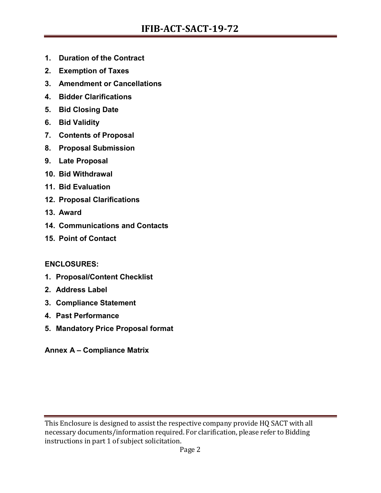- **1. Duration of the Contract**
- **2. Exemption of Taxes**
- **3. Amendment or Cancellations**
- **4. Bidder Clarifications**
- **5. Bid Closing Date**
- **6. Bid Validity**
- **7. Contents of Proposal**
- **8. Proposal Submission**
- **9. Late Proposal**
- **10. Bid Withdrawal**
- **11. Bid Evaluation**
- **12. Proposal Clarifications**
- **13. Award**
- **14. Communications and Contacts**
- **15. Point of Contact**

#### **ENCLOSURES:**

- **1. Proposal/Content Checklist**
- **2. Address Label**
- **3. Compliance Statement**
- **4. Past Performance**
- **5. Mandatory Price Proposal format**
- **Annex A – Compliance Matrix**

This Enclosure is designed to assist the respective company provide HQ SACT with all necessary documents/information required. For clarification, please refer to Bidding instructions in part 1 of subject solicitation.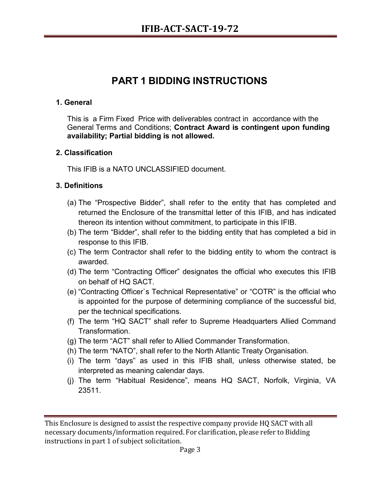# **PART 1 BIDDING INSTRUCTIONS**

#### **1. General**

This is a Firm Fixed Price with deliverables contract in accordance with the General Terms and Conditions; **Contract Award is contingent upon funding availability; Partial bidding is not allowed.**

#### **2. Classification**

This IFIB is a NATO UNCLASSIFIED document.

#### **3. Definitions**

- (a) The "Prospective Bidder", shall refer to the entity that has completed and returned the Enclosure of the transmittal letter of this IFIB, and has indicated thereon its intention without commitment, to participate in this IFIB.
- (b) The term "Bidder", shall refer to the bidding entity that has completed a bid in response to this IFIB.
- (c) The term Contractor shall refer to the bidding entity to whom the contract is awarded.
- (d) The term "Contracting Officer" designates the official who executes this IFIB on behalf of HQ SACT.
- (e) "Contracting Officer`s Technical Representative" or "COTR" is the official who is appointed for the purpose of determining compliance of the successful bid, per the technical specifications.
- (f) The term "HQ SACT" shall refer to Supreme Headquarters Allied Command Transformation.
- (g) The term "ACT" shall refer to Allied Commander Transformation.
- (h) The term "NATO", shall refer to the North Atlantic Treaty Organisation.
- (i) The term "days" as used in this IFIB shall, unless otherwise stated, be interpreted as meaning calendar days.
- (j) The term "Habitual Residence", means HQ SACT, Norfolk, Virginia, VA 23511.

This Enclosure is designed to assist the respective company provide HQ SACT with all necessary documents/information required. For clarification, please refer to Bidding instructions in part 1 of subject solicitation.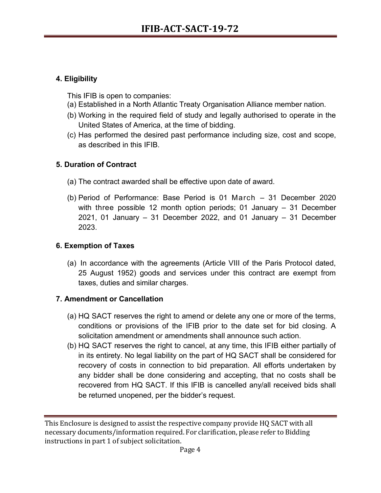# **4. Eligibility**

This IFIB is open to companies:

- (a) Established in a North Atlantic Treaty Organisation Alliance member nation.
- (b) Working in the required field of study and legally authorised to operate in the United States of America, at the time of bidding.
- (c) Has performed the desired past performance including size, cost and scope, as described in this IFIB.

# **5. Duration of Contract**

- (a) The contract awarded shall be effective upon date of award.
- (b) Period of Performance: Base Period is 01 March 31 December 2020 with three possible 12 month option periods; 01 January – 31 December 2021, 01 January – 31 December 2022, and 01 January – 31 December 2023.

# **6. Exemption of Taxes**

(a) In accordance with the agreements (Article VIII of the Paris Protocol dated, 25 August 1952) goods and services under this contract are exempt from taxes, duties and similar charges.

#### **7. Amendment or Cancellation**

- (a) HQ SACT reserves the right to amend or delete any one or more of the terms, conditions or provisions of the IFIB prior to the date set for bid closing. A solicitation amendment or amendments shall announce such action.
- (b) HQ SACT reserves the right to cancel, at any time, this IFIB either partially of in its entirety. No legal liability on the part of HQ SACT shall be considered for recovery of costs in connection to bid preparation. All efforts undertaken by any bidder shall be done considering and accepting, that no costs shall be recovered from HQ SACT. If this IFIB is cancelled any/all received bids shall be returned unopened, per the bidder's request.

This Enclosure is designed to assist the respective company provide HQ SACT with all necessary documents/information required. For clarification, please refer to Bidding instructions in part 1 of subject solicitation.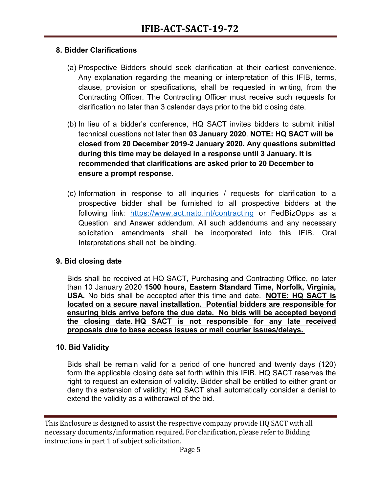#### **8. Bidder Clarifications**

- (a) Prospective Bidders should seek clarification at their earliest convenience. Any explanation regarding the meaning or interpretation of this IFIB, terms, clause, provision or specifications, shall be requested in writing, from the Contracting Officer. The Contracting Officer must receive such requests for clarification no later than 3 calendar days prior to the bid closing date.
- (b) In lieu of a bidder's conference, HQ SACT invites bidders to submit initial technical questions not later than **03 January 2020**. **NOTE: HQ SACT will be closed from 20 December 2019-2 January 2020. Any questions submitted during this time may be delayed in a response until 3 January. It is recommended that clarifications are asked prior to 20 December to ensure a prompt response.**
- (c) Information in response to all inquiries / requests for clarification to a prospective bidder shall be furnished to all prospective bidders at the following link: <https://www.act.nato.int/contracting> or FedBizOpps as a Question and Answer addendum. All such addendums and any necessary solicitation amendments shall be incorporated into this IFIB. Oral Interpretations shall not be binding.

#### **9. Bid closing date**

Bids shall be received at HQ SACT, Purchasing and Contracting Office, no later than 10 January 2020 **1500 hours, Eastern Standard Time, Norfolk, Virginia, USA.** No bids shall be accepted after this time and date. **NOTE: HQ SACT is located on a secure naval installation. Potential bidders are responsible for ensuring bids arrive before the due date. No bids will be accepted beyond the closing date. HQ SACT is not responsible for any late received proposals due to base access issues or mail courier issues/delays.**

#### **10. Bid Validity**

Bids shall be remain valid for a period of one hundred and twenty days (120) form the applicable closing date set forth within this IFIB. HQ SACT reserves the right to request an extension of validity. Bidder shall be entitled to either grant or deny this extension of validity; HQ SACT shall automatically consider a denial to extend the validity as a withdrawal of the bid.

This Enclosure is designed to assist the respective company provide HQ SACT with all necessary documents/information required. For clarification, please refer to Bidding instructions in part 1 of subject solicitation.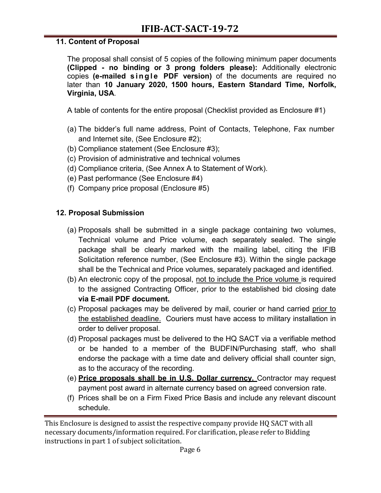### **11. Content of Proposal**

The proposal shall consist of 5 copies of the following minimum paper documents **(Clipped - no binding or 3 prong folders please):** Additionally electronic copies **(e-mailed single PDF version)** of the documents are required no later than **10 January 2020, 1500 hours, Eastern Standard Time, Norfolk, Virginia, USA**.

A table of contents for the entire proposal (Checklist provided as Enclosure #1)

- (a) The bidder's full name address, Point of Contacts, Telephone, Fax number and Internet site, (See Enclosure #2);
- (b) Compliance statement (See Enclosure #3);
- (c) Provision of administrative and technical volumes
- (d) Compliance criteria, (See Annex A to Statement of Work).
- (e) Past performance (See Enclosure #4)
- (f) Company price proposal (Enclosure #5)

# **12. Proposal Submission**

- (a) Proposals shall be submitted in a single package containing two volumes, Technical volume and Price volume, each separately sealed. The single package shall be clearly marked with the mailing label, citing the IFIB Solicitation reference number, (See Enclosure #3). Within the single package shall be the Technical and Price volumes, separately packaged and identified.
- (b) An electronic copy of the proposal, not to include the Price volume is required to the assigned Contracting Officer, prior to the established bid closing date **via E-mail PDF document.**
- (c) Proposal packages may be delivered by mail, courier or hand carried prior to the established deadline. Couriers must have access to military installation in order to deliver proposal.
- (d) Proposal packages must be delivered to the HQ SACT via a verifiable method or be handed to a member of the BUDFIN/Purchasing staff, who shall endorse the package with a time date and delivery official shall counter sign, as to the accuracy of the recording.
- (e) **Price proposals shall be in U.S. Dollar currency.** Contractor may request payment post award in alternate currency based on agreed conversion rate.
- (f) Prices shall be on a Firm Fixed Price Basis and include any relevant discount schedule.

This Enclosure is designed to assist the respective company provide HQ SACT with all necessary documents/information required. For clarification, please refer to Bidding instructions in part 1 of subject solicitation.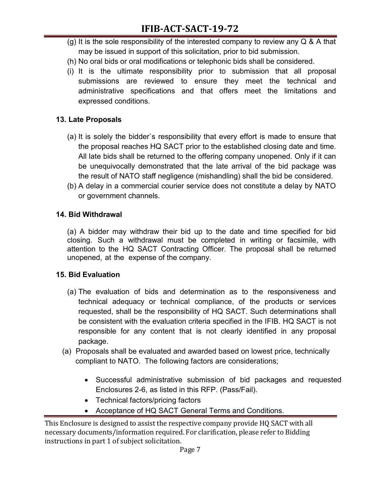- (g) It is the sole responsibility of the interested company to review any  $Q & A$  that may be issued in support of this solicitation, prior to bid submission.
- (h) No oral bids or oral modifications or telephonic bids shall be considered.
- (i) It is the ultimate responsibility prior to submission that all proposal submissions are reviewed to ensure they meet the technical and administrative specifications and that offers meet the limitations and expressed conditions.

# **13. Late Proposals**

- (a) It is solely the bidder`s responsibility that every effort is made to ensure that the proposal reaches HQ SACT prior to the established closing date and time. All late bids shall be returned to the offering company unopened. Only if it can be unequivocally demonstrated that the late arrival of the bid package was the result of NATO staff negligence (mishandling) shall the bid be considered.
- (b) A delay in a commercial courier service does not constitute a delay by NATO or government channels.

# **14. Bid Withdrawal**

(a) A bidder may withdraw their bid up to the date and time specified for bid closing. Such a withdrawal must be completed in writing or facsimile, with attention to the HQ SACT Contracting Officer. The proposal shall be returned unopened, at the expense of the company.

# **15. Bid Evaluation**

- (a) The evaluation of bids and determination as to the responsiveness and technical adequacy or technical compliance, of the products or services requested, shall be the responsibility of HQ SACT. Such determinations shall be consistent with the evaluation criteria specified in the IFIB. HQ SACT is not responsible for any content that is not clearly identified in any proposal package.
- (a) Proposals shall be evaluated and awarded based on lowest price, technically compliant to NATO. The following factors are considerations;
	- Successful administrative submission of bid packages and requested Enclosures 2-6, as listed in this RFP. (Pass/Fail).
	- Technical factors/pricing factors
	- Acceptance of HQ SACT General Terms and Conditions.

This Enclosure is designed to assist the respective company provide HQ SACT with all necessary documents/information required. For clarification, please refer to Bidding instructions in part 1 of subject solicitation.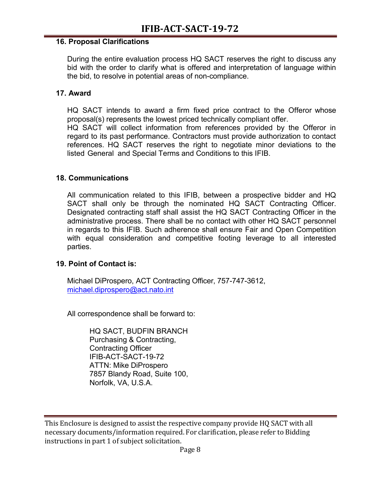#### **16. Proposal Clarifications**

During the entire evaluation process HQ SACT reserves the right to discuss any bid with the order to clarify what is offered and interpretation of language within the bid, to resolve in potential areas of non-compliance.

#### **17. Award**

HQ SACT intends to award a firm fixed price contract to the Offeror whose proposal(s) represents the lowest priced technically compliant offer.

HQ SACT will collect information from references provided by the Offeror in regard to its past performance. Contractors must provide authorization to contact references. HQ SACT reserves the right to negotiate minor deviations to the listed General and Special Terms and Conditions to this IFIB.

#### **18. Communications**

All communication related to this IFIB, between a prospective bidder and HQ SACT shall only be through the nominated HQ SACT Contracting Officer. Designated contracting staff shall assist the HQ SACT Contracting Officer in the administrative process. There shall be no contact with other HQ SACT personnel in regards to this IFIB. Such adherence shall ensure Fair and Open Competition with equal consideration and competitive footing leverage to all interested parties.

#### **19. Point of Contact is:**

Michael DiProspero, ACT Contracting Officer, 757-747-3612, michael.diprospero@act.nato.int

All correspondence shall be forward to:

HQ SACT, BUDFIN BRANCH Purchasing & Contracting, Contracting Officer IFIB-ACT-SACT-19-72 ATTN: Mike DiProspero 7857 Blandy Road, Suite 100, Norfolk, VA, U.S.A.

This Enclosure is designed to assist the respective company provide HQ SACT with all necessary documents/information required. For clarification, please refer to Bidding instructions in part 1 of subject solicitation.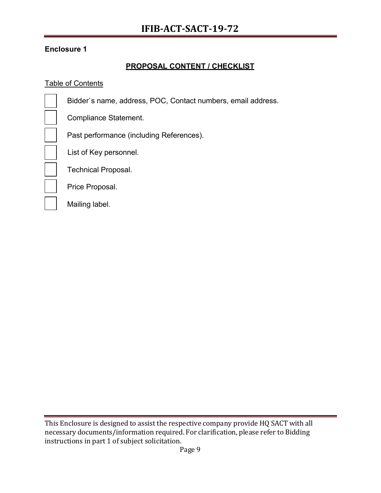# **PROPOSAL CONTENT / CHECKLIST**

# **Table of Contents**

| Bidder's name, address, POC, Contact numbers, email address. |
|--------------------------------------------------------------|
| Compliance Statement.                                        |
| Past performance (including References).                     |
| List of Key personnel.                                       |
| <b>Technical Proposal.</b>                                   |
| Price Proposal.                                              |
| Mailing label.                                               |

This Enclosure is designed to assist the respective company provide HQ SACT with all necessary documents/information required. For clarification, please refer to Bidding instructions in part 1 of subject solicitation.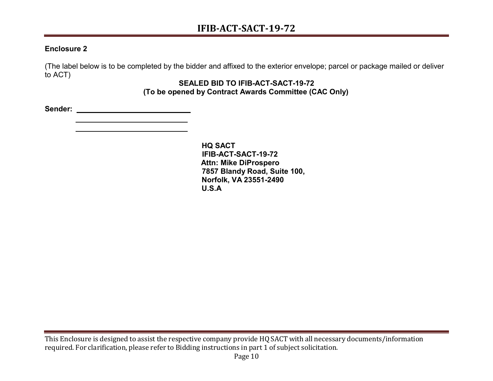(The label below is to be completed by the bidder and affixed to the exterior envelope; parcel or package mailed or deliver to ACT)

#### **SEALED BID TO IFIB-ACT-SACT-19-72 (To be opened by Contract Awards Committee (CAC Only)**

**Sender:**

**HQ SACT IFIB-ACT-SACT-19-72 Attn: Mike DiProspero 7857 Blandy Road, Suite 100, Norfolk, VA 23551-2490 U.S.A**

This Enclosure is designed to assist the respective company provide HQ SACT with all necessary documents/information required. For clarification, please refer to Bidding instructions in part 1 of subject solicitation.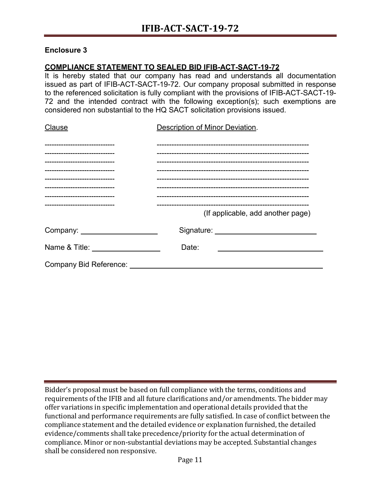#### **COMPLIANCE STATEMENT TO SEALED BID IFIB-ACT-SACT-19-72**

It is hereby stated that our company has read and understands all documentation issued as part of IFIB-ACT-SACT-19-72. Our company proposal submitted in response to the referenced solicitation is fully compliant with the provisions of IFIB-ACT-SACT-19- 72 and the intended contract with the following exception(s); such exemptions are considered non substantial to the HQ SACT solicitation provisions issued.

| Clause                        | Description of Minor Deviation.   |
|-------------------------------|-----------------------------------|
|                               |                                   |
| ----------------------------- |                                   |
|                               |                                   |
|                               |                                   |
| ---------------------------   |                                   |
|                               |                                   |
|                               |                                   |
|                               |                                   |
|                               | (If applicable, add another page) |
|                               |                                   |
| Name & Title: Name & Title:   | Date:                             |
| <b>Company Bid Reference:</b> |                                   |

Bidder's proposal must be based on full compliance with the terms, conditions and requirements of the IFIB and all future clarifications and/or amendments. The bidder may offer variations in specific implementation and operational details provided that the functional and performance requirements are fully satisfied. In case of conflict between the compliance statement and the detailed evidence or explanation furnished, the detailed evidence/comments shall take precedence/priority for the actual determination of compliance. Minor or non-substantial deviations may be accepted. Substantial changes shall be considered non responsive.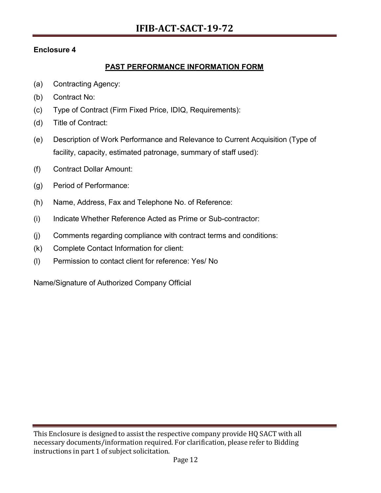# **PAST PERFORMANCE INFORMATION FORM**

- (a) Contracting Agency:
- (b) Contract No:
- (c) Type of Contract (Firm Fixed Price, IDIQ, Requirements):
- (d) Title of Contract:
- (e) Description of Work Performance and Relevance to Current Acquisition (Type of facility, capacity, estimated patronage, summary of staff used):
- (f) Contract Dollar Amount:
- (g) Period of Performance:
- (h) Name, Address, Fax and Telephone No. of Reference:
- (i) Indicate Whether Reference Acted as Prime or Sub-contractor:
- (j) Comments regarding compliance with contract terms and conditions:
- (k) Complete Contact Information for client:
- (l) Permission to contact client for reference: Yes/ No

Name/Signature of Authorized Company Official

This Enclosure is designed to assist the respective company provide HQ SACT with all necessary documents/information required. For clarification, please refer to Bidding instructions in part 1 of subject solicitation.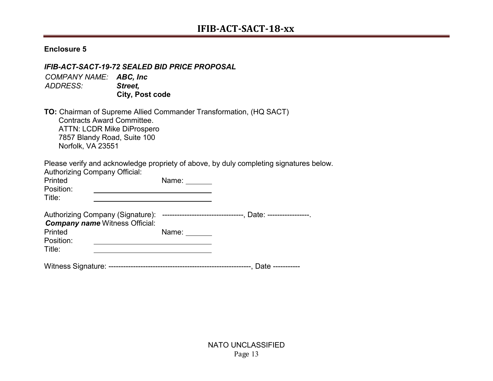#### *IFIB-ACT-SACT-19-72 SEALED BID PRICE PROPOSAL*

*COMPANY NAME: ABC, Inc ADDRESS: Street,* **City, Post code**

**TO:** Chairman of Supreme Allied Commander Transformation, (HQ SACT) Contracts Award Committee. ATTN: LCDR Mike DiProspero 7857 Blandy Road, Suite 100 Norfolk, VA 23551

Please verify and acknowledge propriety of above, by duly completing signatures below.

| <b>Authorizing Company Official:</b><br>Printed<br>Position: |                                                                           | Name: |                                                              |
|--------------------------------------------------------------|---------------------------------------------------------------------------|-------|--------------------------------------------------------------|
| Title:                                                       |                                                                           |       |                                                              |
|                                                              | Authorizing Company (Signature):<br><b>Company name Witness Official:</b> |       | ----------------------------------, Date: -----------------. |
| Printed                                                      |                                                                           | Name: |                                                              |
| Position:                                                    |                                                                           |       |                                                              |
| Title:                                                       |                                                                           |       |                                                              |
|                                                              |                                                                           |       | Date -----------                                             |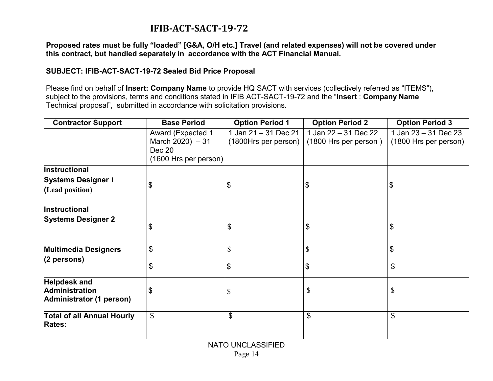# **IFIB-ACT-SACT-19-72**

**Proposed rates must be fully "loaded" [G&A, O/H etc.] Travel (and related expenses) will not be covered under this contract, but handled separately in accordance with the ACT Financial Manual.**

#### **SUBJECT: IFIB-ACT-SACT-19-72 Sealed Bid Price Proposal**

Please find on behalf of **Insert: Company Name** to provide HQ SACT with services (collectively referred as "ITEMS"), subject to the provisions, terms and conditions stated in IFIB ACT-SACT-19-72 and the "**Insert** : **Company Name** Technical proposal", submitted in accordance with solicitation provisions.

| <b>Contractor Support</b>                                                | <b>Base Period</b>                                                                    | <b>Option Period 1</b>                       | <b>Option Period 2</b>                        | <b>Option Period 3</b>                        |
|--------------------------------------------------------------------------|---------------------------------------------------------------------------------------|----------------------------------------------|-----------------------------------------------|-----------------------------------------------|
|                                                                          | <b>Award (Expected 1</b><br>March $2020$ ) $-31$<br>Dec 20<br>$(1600$ Hrs per person) | 1 Jan 21 - 31 Dec 21<br>(1800Hrs per person) | 1 Jan 22 - 31 Dec 22<br>(1800 Hrs per person) | 1 Jan 23 - 31 Dec 23<br>(1800 Hrs per person) |
| <b>Instructional</b>                                                     |                                                                                       |                                              |                                               |                                               |
| <b>Systems Designer 1</b>                                                | \$                                                                                    | \$                                           | \$                                            | \$                                            |
| (Lead position)                                                          |                                                                                       |                                              |                                               |                                               |
| Instructional                                                            |                                                                                       |                                              |                                               |                                               |
| <b>Systems Designer 2</b>                                                | \$                                                                                    | \$                                           | \$                                            | \$                                            |
| <b>Multimedia Designers</b>                                              | \$                                                                                    | \$                                           | \$                                            | \$                                            |
| $(2$ persons)                                                            | \$                                                                                    | $\boldsymbol{\mathsf{S}}$                    | \$                                            | \$                                            |
|                                                                          |                                                                                       |                                              |                                               |                                               |
| <b>Helpdesk and</b><br><b>Administration</b><br>Administrator (1 person) | \$                                                                                    | \$                                           | \$                                            | \$                                            |
| <b>Total of all Annual Hourly</b><br><b>Rates:</b>                       | \$                                                                                    | \$                                           | \$                                            | \$                                            |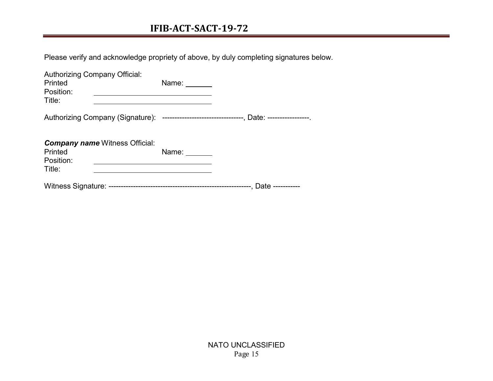# **IFIB-ACT-SACT-19-72**

Please verify and acknowledge propriety of above, by duly completing signatures below.

| <b>Authorizing Company Official:</b><br>Printed<br>Position:<br>Title: |                                                                                              | Name: $\frac{1}{\sqrt{1-\frac{1}{2}}\cdot\frac{1}{2}}$                                                                |  |
|------------------------------------------------------------------------|----------------------------------------------------------------------------------------------|-----------------------------------------------------------------------------------------------------------------------|--|
|                                                                        | Authorizing Company (Signature): ---------------------------------, Date: -----------------. |                                                                                                                       |  |
|                                                                        |                                                                                              |                                                                                                                       |  |
|                                                                        | <b>Company name Witness Official:</b>                                                        |                                                                                                                       |  |
| Printed<br>Position:                                                   |                                                                                              | Name: $\frac{1}{\sqrt{1-\frac{1}{2}}\sqrt{1-\frac{1}{2}}\sqrt{1-\frac{1}{2}}\sqrt{1-\frac{1}{2}}\sqrt{1-\frac{1}{2}}$ |  |
| Title:                                                                 |                                                                                              |                                                                                                                       |  |
|                                                                        |                                                                                              |                                                                                                                       |  |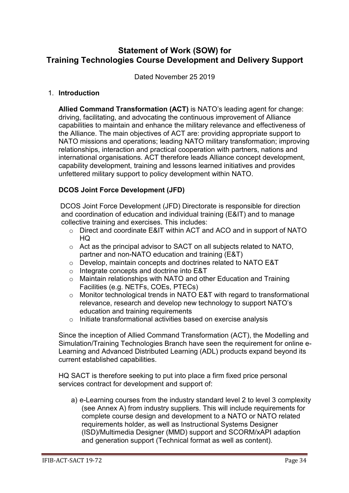# **Statement of Work (SOW) for Training Technologies Course Development and Delivery Support**

Dated November 25 2019

#### 1. **Introduction**

**Allied Command Transformation (ACT)** is NATO's leading agent for change: driving, facilitating, and advocating the continuous improvement of Alliance capabilities to maintain and enhance the military relevance and effectiveness of the Alliance. The main objectives of ACT are: providing appropriate support to NATO missions and operations; leading NATO military transformation; improving relationships, interaction and practical cooperation with partners, nations and international organisations. ACT therefore leads Alliance concept development, capability development, training and lessons learned initiatives and provides unfettered military support to policy development within NATO.

#### **DCOS Joint Force Development (JFD)**

DCOS Joint Force Development (JFD) Directorate is responsible for direction and coordination of education and individual training (E&IT) and to manage collective training and exercises. This includes:

- o Direct and coordinate E&IT within ACT and ACO and in support of NATO HQ
- o Act as the principal advisor to SACT on all subjects related to NATO, partner and non-NATO education and training (E&T)
- o Develop, maintain concepts and doctrines related to NATO E&T
- o Integrate concepts and doctrine into E&T
- o Maintain relationships with NATO and other Education and Training Facilities (e.g. NETFs, COEs, PTECs)
- o Monitor technological trends in NATO E&T with regard to transformational relevance, research and develop new technology to support NATO's education and training requirements
- o Initiate transformational activities based on exercise analysis

Since the inception of Allied Command Transformation (ACT), the Modelling and Simulation/Training Technologies Branch have seen the requirement for online e-Learning and Advanced Distributed Learning (ADL) products expand beyond its current established capabilities.

HQ SACT is therefore seeking to put into place a firm fixed price personal services contract for development and support of:

a) e-Learning courses from the industry standard level 2 to level 3 complexity (see Annex A) from industry suppliers. This will include requirements for complete course design and development to a NATO or NATO related requirements holder, as well as Instructional Systems Designer (ISD)/Multimedia Designer (MMD) support and SCORM/xAPI adaption and generation support (Technical format as well as content).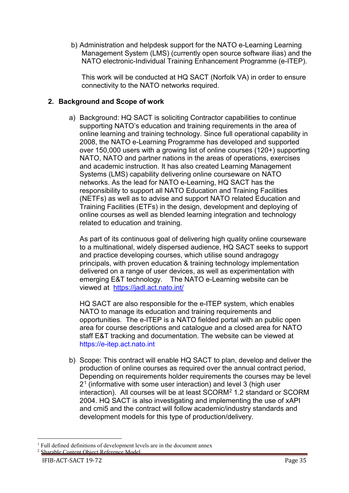b) Administration and helpdesk support for the NATO e-Learning Learning Management System (LMS) (currently open source software ilias) and the NATO electronic-Individual Training Enhancement Programme (e-ITEP).

This work will be conducted at HQ SACT (Norfolk VA) in order to ensure connectivity to the NATO networks required.

# **2. Background and Scope of work**

a) Background: HQ SACT is soliciting Contractor capabilities to continue supporting NATO's education and training requirements in the area of online learning and training technology. Since full operational capability in 2008, the NATO e-Learning Programme has developed and supported over 150,000 users with a growing list of online courses (120+) supporting NATO, NATO and partner nations in the areas of operations, exercises and academic instruction. It has also created Learning Management Systems (LMS) capability delivering online courseware on NATO networks. As the lead for NATO e-Learning, HQ SACT has the responsibility to support all NATO Education and Training Facilities (NETFs) as well as to advise and support NATO related Education and Training Facilities (ETFs) in the design, development and deploying of online courses as well as blended learning integration and technology related to education and training.

As part of its continuous goal of delivering high quality online courseware to a multinational, widely dispersed audience, HQ SACT seeks to support and practice developing courses, which utilise sound andragogy principals, with proven education & training technology implementation delivered on a range of user devices, as well as experimentation with emerging E&T technology. The NATO e-Learning website can be viewed at <https://jadl.act.nato.int/>

HQ SACT are also responsible for the e-ITEP system, which enables NATO to manage its education and training requirements and opportunities. The e-ITEP is a NATO fielded portal with an public open area for course descriptions and catalogue and a closed area for NATO staff E&T tracking and documentation. The website can be viewed at [https://e-itep.act.nato.int](https://e-itep.act.nato.int/)

b) Scope: This contract will enable HQ SACT to plan, develop and deliver the production of online courses as required over the annual contract period, Depending on requirements holder requirements the courses may be level 2[1](#page-17-0) (informative with some user interaction) and level 3 (high user interaction). All courses will be at least SCORM[2](#page-17-1) 1.2 standard or SCORM 2004. HQ SACT is also investigating and implementing the use of xAPI and cmi5 and the contract will follow academic/industry standards and development models for this type of production/delivery.

 <sup>1</sup> Full defined definitions of development levels are in the document annex <sup>2</sup> Sharable Content Object Reference Model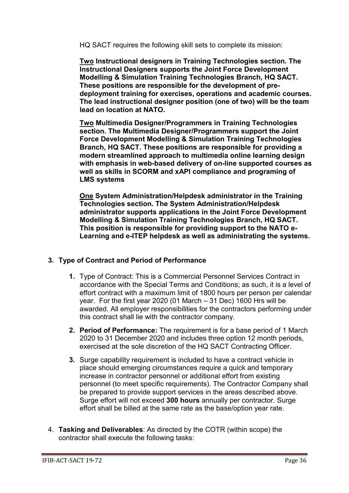HQ SACT requires the following skill sets to complete its mission:

**Two Instructional designers in Training Technologies section. The Instructional Designers supports the Joint Force Development Modelling & Simulation Training Technologies Branch, HQ SACT. These positions are responsible for the development of predeployment training for exercises, operations and academic courses. The lead instructional designer position (one of two) will be the team lead on location at NATO.**

**Two Multimedia Designer/Programmers in Training Technologies section. The Multimedia Designer/Programmers support the Joint Force Development Modelling & Simulation Training Technologies Branch, HQ SACT. These positions are responsible for providing a modern streamlined approach to multimedia online learning design with emphasis in web-based delivery of on-line supported courses as well as skills in SCORM and xAPI compliance and programing of LMS systems**

**One System Administration/Helpdesk administrator in the Training Technologies section. The System Administration/Helpdesk administrator supports applications in the Joint Force Development Modelling & Simulation Training Technologies Branch, HQ SACT. This position is responsible for providing support to the NATO e-Learning and e-ITEP helpdesk as well as administrating the systems.** 

## **3. Type of Contract and Period of Performance**

- **1.** Type of Contract: This is a Commercial Personnel Services Contract in accordance with the Special Terms and Conditions; as such, it is a level of effort contract with a maximum limit of 1800 hours per person per calendar year. For the first year 2020 (01 March – 31 Dec) 1600 Hrs will be awarded. All employer responsibilities for the contractors performing under this contract shall lie with the contractor company.
- **2. Period of Performance:** The requirement is for a base period of 1 March 2020 to 31 December 2020 and includes three option 12 month periods, exercised at the sole discretion of the HQ SACT Contracting Officer.
- **3.** Surge capability requirement is included to have a contract vehicle in place should emerging circumstances require a quick and temporary increase in contractor personnel or additional effort from existing personnel (to meet specific requirements). The Contractor Company shall be prepared to provide support services in the areas described above. Surge effort will not exceed **300 hours** annually per contractor. Surge effort shall be billed at the same rate as the base/option year rate.
- <span id="page-17-1"></span><span id="page-17-0"></span>4. **Tasking and Deliverables**: As directed by the COTR (within scope) the contractor shall execute the following tasks: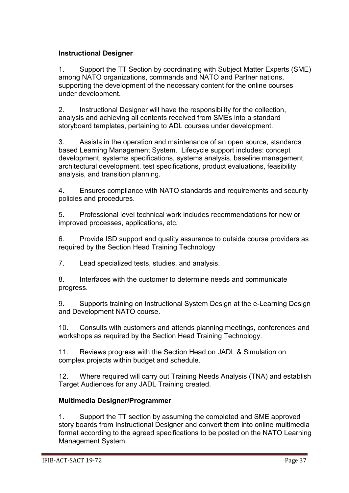# **Instructional Designer**

1. Support the TT Section by coordinating with Subject Matter Experts (SME) among NATO organizations, commands and NATO and Partner nations, supporting the development of the necessary content for the online courses under development.

2. Instructional Designer will have the responsibility for the collection, analysis and achieving all contents received from SMEs into a standard storyboard templates, pertaining to ADL courses under development.

3. Assists in the operation and maintenance of an open source, standards based Learning Management System. Lifecycle support includes: concept development, systems specifications, systems analysis, baseline management, architectural development, test specifications, product evaluations, feasibility analysis, and transition planning.

4. Ensures compliance with NATO standards and requirements and security policies and procedures.

5. Professional level technical work includes recommendations for new or improved processes, applications, etc.

6. Provide ISD support and quality assurance to outside course providers as required by the Section Head Training Technology

7. Lead specialized tests, studies, and analysis.

8. Interfaces with the customer to determine needs and communicate progress.

9. Supports training on Instructional System Design at the e-Learning Design and Development NATO course.

10. Consults with customers and attends planning meetings, conferences and workshops as required by the Section Head Training Technology.

11. Reviews progress with the Section Head on JADL & Simulation on complex projects within budget and schedule.

12. Where required will carry out Training Needs Analysis (TNA) and establish Target Audiences for any JADL Training created.

## **Multimedia Designer/Programmer**

1. Support the TT section by assuming the completed and SME approved story boards from Instructional Designer and convert them into online multimedia format according to the agreed specifications to be posted on the NATO Learning Management System.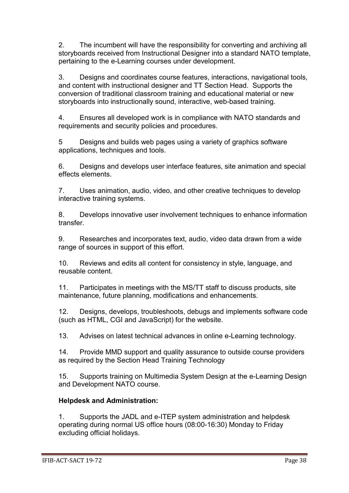2. The incumbent will have the responsibility for converting and archiving all storyboards received from Instructional Designer into a standard NATO template, pertaining to the e-Learning courses under development.

3. Designs and coordinates course features, interactions, navigational tools, and content with instructional designer and TT Section Head. Supports the conversion of traditional classroom training and educational material or new storyboards into instructionally sound, interactive, web-based training.

4. Ensures all developed work is in compliance with NATO standards and requirements and security policies and procedures.

5 Designs and builds web pages using a variety of graphics software applications, techniques and tools.

6. Designs and develops user interface features, site animation and special effects elements.

7. Uses animation, audio, video, and other creative techniques to develop interactive training systems.

8. Develops innovative user involvement techniques to enhance information transfer.

9. Researches and incorporates text, audio, video data drawn from a wide range of sources in support of this effort.

10. Reviews and edits all content for consistency in style, language, and reusable content.

11. Participates in meetings with the MS/TT staff to discuss products, site maintenance, future planning, modifications and enhancements.

12. Designs, develops, troubleshoots, debugs and implements software code (such as HTML, CGI and JavaScript) for the website.

13. Advises on latest technical advances in online e-Learning technology.

14. Provide MMD support and quality assurance to outside course providers as required by the Section Head Training Technology

15. Supports training on Multimedia System Design at the e-Learning Design and Development NATO course.

# **Helpdesk and Administration:**

1. Supports the JADL and e-ITEP system administration and helpdesk operating during normal US office hours (08:00-16:30) Monday to Friday excluding official holidays.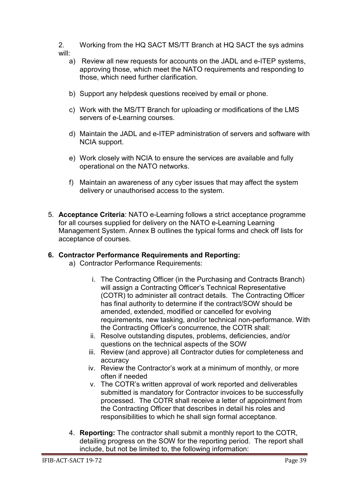2. Working from the HQ SACT MS/TT Branch at HQ SACT the sys admins will:

- a) Review all new requests for accounts on the JADL and e-ITEP systems, approving those, which meet the NATO requirements and responding to those, which need further clarification.
- b) Support any helpdesk questions received by email or phone.
- c) Work with the MS/TT Branch for uploading or modifications of the LMS servers of e-Learning courses.
- d) Maintain the JADL and e-ITEP administration of servers and software with NCIA support.
- e) Work closely with NCIA to ensure the services are available and fully operational on the NATO networks.
- f) Maintain an awareness of any cyber issues that may affect the system delivery or unauthorised access to the system.
- 5. **Acceptance Criteria**: NATO e-Learning follows a strict acceptance programme for all courses supplied for delivery on the NATO e-Learning Learning Management System. Annex B outlines the typical forms and check off lists for acceptance of courses.

## **6. Contractor Performance Requirements and Reporting:**

- a) Contractor Performance Requirements:
	- i. The Contracting Officer (in the Purchasing and Contracts Branch) will assign a Contracting Officer's Technical Representative (COTR) to administer all contract details. The Contracting Officer has final authority to determine if the contract/SOW should be amended, extended, modified or cancelled for evolving requirements, new tasking, and/or technical non-performance. With the Contracting Officer's concurrence, the COTR shall:
	- ii. Resolve outstanding disputes, problems, deficiencies, and/or questions on the technical aspects of the SOW
	- iii. Review (and approve) all Contractor duties for completeness and accuracy
	- iv. Review the Contractor's work at a minimum of monthly, or more often if needed
	- v. The COTR's written approval of work reported and deliverables submitted is mandatory for Contractor invoices to be successfully processed. The COTR shall receive a letter of appointment from the Contracting Officer that describes in detail his roles and responsibilities to which he shall sign formal acceptance.
- 4. **Reporting:** The contractor shall submit a monthly report to the COTR, detailing progress on the SOW for the reporting period. The report shall include, but not be limited to, the following information: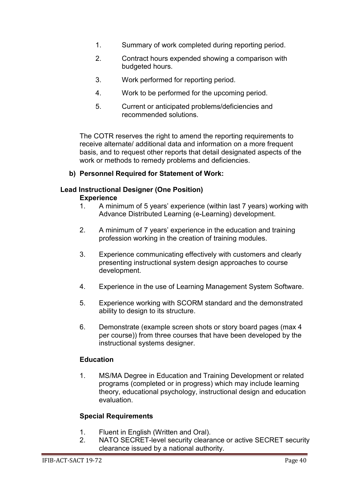- 1. Summary of work completed during reporting period.
- 2. Contract hours expended showing a comparison with budgeted hours.
- 3. Work performed for reporting period.
- 4. Work to be performed for the upcoming period.
- 5. Current or anticipated problems/deficiencies and recommended solutions.

The COTR reserves the right to amend the reporting requirements to receive alternate/ additional data and information on a more frequent basis, and to request other reports that detail designated aspects of the work or methods to remedy problems and deficiencies.

#### **b) Personnel Required for Statement of Work:**

## **Lead Instructional Designer (One Position)**

#### **Experience**

- 1. A minimum of 5 years' experience (within last 7 years) working with Advance Distributed Learning (e-Learning) development.
- 2. A minimum of 7 years' experience in the education and training profession working in the creation of training modules.
- 3. Experience communicating effectively with customers and clearly presenting instructional system design approaches to course development.
- 4. Experience in the use of Learning Management System Software.
- 5. Experience working with SCORM standard and the demonstrated ability to design to its structure.
- 6. Demonstrate (example screen shots or story board pages (max 4 per course)) from three courses that have been developed by the instructional systems designer.

## **Education**

1. MS/MA Degree in Education and Training Development or related programs (completed or in progress) which may include learning theory, educational psychology, instructional design and education evaluation.

#### **Special Requirements**

- 1. Fluent in English (Written and Oral).<br>2. NATO SECRET-level security cleara
- NATO SECRET-level security clearance or active SECRET security clearance issued by a national authority.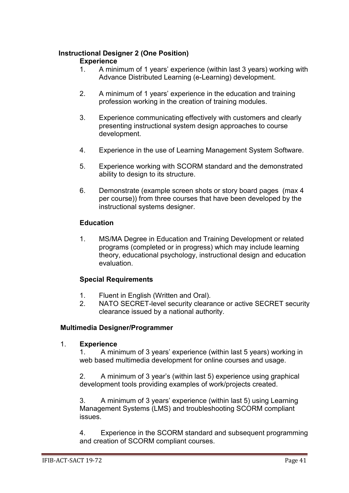# **Instructional Designer 2 (One Position)**

# **Experience**<br>1 A mini

- 1. A minimum of 1 years' experience (within last 3 years) working with Advance Distributed Learning (e-Learning) development.
- 2. A minimum of 1 years' experience in the education and training profession working in the creation of training modules.
- 3. Experience communicating effectively with customers and clearly presenting instructional system design approaches to course development.
- 4. Experience in the use of Learning Management System Software.
- 5. Experience working with SCORM standard and the demonstrated ability to design to its structure.
- 6. Demonstrate (example screen shots or story board pages (max 4 per course)) from three courses that have been developed by the instructional systems designer.

#### **Education**

1. MS/MA Degree in Education and Training Development or related programs (completed or in progress) which may include learning theory, educational psychology, instructional design and education evaluation.

## **Special Requirements**

- 1. Fluent in English (Written and Oral).
- 2. NATO SECRET-level security clearance or active SECRET security clearance issued by a national authority.

#### **Multimedia Designer/Programmer**

#### 1. **Experience**

1. A minimum of 3 years' experience (within last 5 years) working in web based multimedia development for online courses and usage.

2. A minimum of 3 year's (within last 5) experience using graphical development tools providing examples of work/projects created.

3. A minimum of 3 years' experience (within last 5) using Learning Management Systems (LMS) and troubleshooting SCORM compliant issues.

4. Experience in the SCORM standard and subsequent programming and creation of SCORM compliant courses.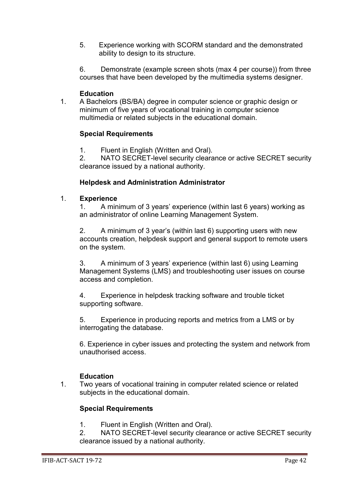5. Experience working with SCORM standard and the demonstrated ability to design to its structure.

6. Demonstrate (example screen shots (max 4 per course)) from three courses that have been developed by the multimedia systems designer.

#### **Education**

1. A Bachelors (BS/BA) degree in computer science or graphic design or minimum of five years of vocational training in computer science multimedia or related subjects in the educational domain.

#### **Special Requirements**

1. Fluent in English (Written and Oral).

2. NATO SECRET-level security clearance or active SECRET security clearance issued by a national authority.

#### **Helpdesk and Administration Administrator**

#### 1. **Experience**

1. A minimum of 3 years' experience (within last 6 years) working as an administrator of online Learning Management System.

2. A minimum of 3 year's (within last 6) supporting users with new accounts creation, helpdesk support and general support to remote users on the system.

3. A minimum of 3 years' experience (within last 6) using Learning Management Systems (LMS) and troubleshooting user issues on course access and completion.

4. Experience in helpdesk tracking software and trouble ticket supporting software.

5. Experience in producing reports and metrics from a LMS or by interrogating the database.

6. Experience in cyber issues and protecting the system and network from unauthorised access.

#### **Education**

1. Two years of vocational training in computer related science or related subjects in the educational domain.

#### **Special Requirements**

1. Fluent in English (Written and Oral).

2. NATO SECRET-level security clearance or active SECRET security clearance issued by a national authority.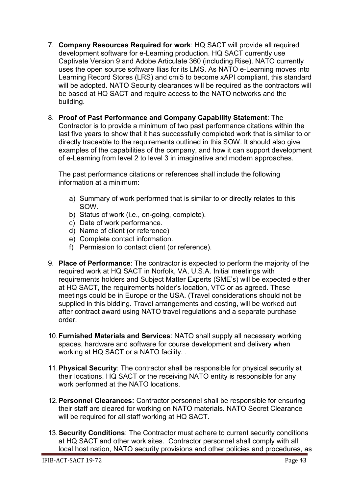- 7. **Company Resources Required for work**: HQ SACT will provide all required development software for e-Learning production. HQ SACT currently use Captivate Version 9 and Adobe Articulate 360 (including Rise). NATO currently uses the open source software Ilias for its LMS. As NATO e-Learning moves into Learning Record Stores (LRS) and cmi5 to become xAPI compliant, this standard will be adopted. NATO Security clearances will be required as the contractors will be based at HQ SACT and require access to the NATO networks and the building.
- 8. **Proof of Past Performance and Company Capability Statement**: The Contractor is to provide a minimum of two past performance citations within the last five years to show that it has successfully completed work that is similar to or directly traceable to the requirements outlined in this SOW. It should also give examples of the capabilities of the company, and how it can support development of e-Learning from level 2 to level 3 in imaginative and modern approaches.

The past performance citations or references shall include the following information at a minimum:

- a) Summary of work performed that is similar to or directly relates to this SOW.
- b) Status of work (i.e., on-going, complete).
- c) Date of work performance.
- d) Name of client (or reference)
- e) Complete contact information.
- f) Permission to contact client (or reference).
- 9. **Place of Performance**: The contractor is expected to perform the majority of the required work at HQ SACT in Norfolk, VA, U.S.A. Initial meetings with requirements holders and Subject Matter Experts (SME's) will be expected either at HQ SACT, the requirements holder's location, VTC or as agreed. These meetings could be in Europe or the USA. (Travel considerations should not be supplied in this bidding. Travel arrangements and costing, will be worked out after contract award using NATO travel regulations and a separate purchase order.
- 10.**Furnished Materials and Services**: NATO shall supply all necessary working spaces, hardware and software for course development and delivery when working at HQ SACT or a NATO facility. .
- 11.**Physical Security**: The contractor shall be responsible for physical security at their locations. HQ SACT or the receiving NATO entity is responsible for any work performed at the NATO locations.
- 12.**Personnel Clearances:** Contractor personnel shall be responsible for ensuring their staff are cleared for working on NATO materials. NATO Secret Clearance will be required for all staff working at HQ SACT.
- 13.**Security Conditions**: The Contractor must adhere to current security conditions at HQ SACT and other work sites. Contractor personnel shall comply with all local host nation, NATO security provisions and other policies and procedures, as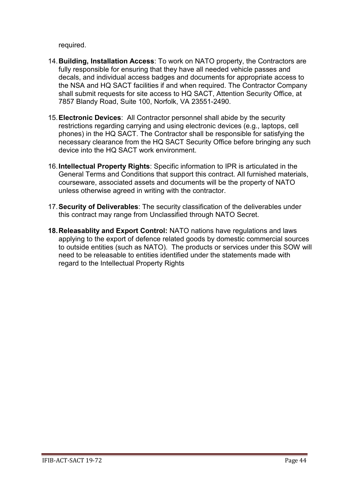required.

- 14.**Building, Installation Access**: To work on NATO property, the Contractors are fully responsible for ensuring that they have all needed vehicle passes and decals, and individual access badges and documents for appropriate access to the NSA and HQ SACT facilities if and when required. The Contractor Company shall submit requests for site access to HQ SACT, Attention Security Office, at 7857 Blandy Road, Suite 100, Norfolk, VA 23551-2490.
- 15.**Electronic Devices**: All Contractor personnel shall abide by the security restrictions regarding carrying and using electronic devices (e.g., laptops, cell phones) in the HQ SACT. The Contractor shall be responsible for satisfying the necessary clearance from the HQ SACT Security Office before bringing any such device into the HQ SACT work environment.
- 16.**Intellectual Property Rights**: Specific information to IPR is articulated in the General Terms and Conditions that support this contract. All furnished materials, courseware, associated assets and documents will be the property of NATO unless otherwise agreed in writing with the contractor.
- 17.**Security of Deliverables**: The security classification of the deliverables under this contract may range from Unclassified through NATO Secret.
- **18.Releasablity and Export Control:** NATO nations have regulations and laws applying to the export of defence related goods by domestic commercial sources to outside entities (such as NATO). The products or services under this SOW will need to be releasable to entities identified under the statements made with regard to the Intellectual Property Rights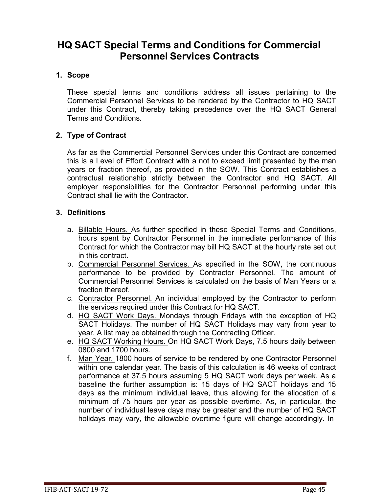# **HQ SACT Special Terms and Conditions for Commercial Personnel Services Contracts**

#### **1. Scope**

These special terms and conditions address all issues pertaining to the Commercial Personnel Services to be rendered by the Contractor to HQ SACT under this Contract, thereby taking precedence over the HQ SACT General Terms and Conditions.

#### **2. Type of Contract**

As far as the Commercial Personnel Services under this Contract are concerned this is a Level of Effort Contract with a not to exceed limit presented by the man years or fraction thereof, as provided in the SOW. This Contract establishes a contractual relationship strictly between the Contractor and HQ SACT. All employer responsibilities for the Contractor Personnel performing under this Contract shall lie with the Contractor.

#### **3. Definitions**

- a. Billable Hours. As further specified in these Special Terms and Conditions, hours spent by Contractor Personnel in the immediate performance of this Contract for which the Contractor may bill HQ SACT at the hourly rate set out in this contract.
- b. Commercial Personnel Services. As specified in the SOW, the continuous performance to be provided by Contractor Personnel. The amount of Commercial Personnel Services is calculated on the basis of Man Years or a fraction thereof.
- c. Contractor Personnel. An individual employed by the Contractor to perform the services required under this Contract for HQ SACT.
- d. HQ SACT Work Days. Mondays through Fridays with the exception of HQ SACT Holidays. The number of HQ SACT Holidays may vary from year to year. A list may be obtained through the Contracting Officer.
- e. HQ SACT Working Hours. On HQ SACT Work Days, 7.5 hours daily between 0800 and 1700 hours.
- f. Man Year. 1800 hours of service to be rendered by one Contractor Personnel within one calendar year. The basis of this calculation is 46 weeks of contract performance at 37.5 hours assuming 5 HQ SACT work days per week. As a baseline the further assumption is: 15 days of HQ SACT holidays and 15 days as the minimum individual leave, thus allowing for the allocation of a minimum of 75 hours per year as possible overtime. As, in particular, the number of individual leave days may be greater and the number of HQ SACT holidays may vary, the allowable overtime figure will change accordingly. In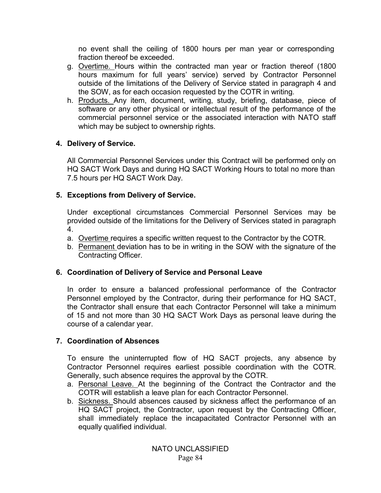no event shall the ceiling of 1800 hours per man year or corresponding fraction thereof be exceeded.

- g. Overtime. Hours within the contracted man year or fraction thereof (1800 hours maximum for full years' service) served by Contractor Personnel outside of the limitations of the Delivery of Service stated in paragraph 4 and the SOW, as for each occasion requested by the COTR in writing.
- h. Products. Any item, document, writing, study, briefing, database, piece of software or any other physical or intellectual result of the performance of the commercial personnel service or the associated interaction with NATO staff which may be subject to ownership rights.

# **4. Delivery of Service.**

All Commercial Personnel Services under this Contract will be performed only on HQ SACT Work Days and during HQ SACT Working Hours to total no more than 7.5 hours per HQ SACT Work Day.

# **5. Exceptions from Delivery of Service.**

Under exceptional circumstances Commercial Personnel Services may be provided outside of the limitations for the Delivery of Services stated in paragraph 4.

- a. Overtime requires a specific written request to the Contractor by the COTR.
- b. Permanent deviation has to be in writing in the SOW with the signature of the Contracting Officer.

# **6. Coordination of Delivery of Service and Personal Leave**

In order to ensure a balanced professional performance of the Contractor Personnel employed by the Contractor, during their performance for HQ SACT, the Contractor shall ensure that each Contractor Personnel will take a minimum of 15 and not more than 30 HQ SACT Work Days as personal leave during the course of a calendar year.

# **7. Coordination of Absences**

To ensure the uninterrupted flow of HQ SACT projects, any absence by Contractor Personnel requires earliest possible coordination with the COTR. Generally, such absence requires the approval by the COTR.

- a. Personal Leave. At the beginning of the Contract the Contractor and the COTR will establish a leave plan for each Contractor Personnel.
- b. Sickness. Should absences caused by sickness affect the performance of an HQ SACT project, the Contractor, upon request by the Contracting Officer, shall immediately replace the incapacitated Contractor Personnel with an equally qualified individual.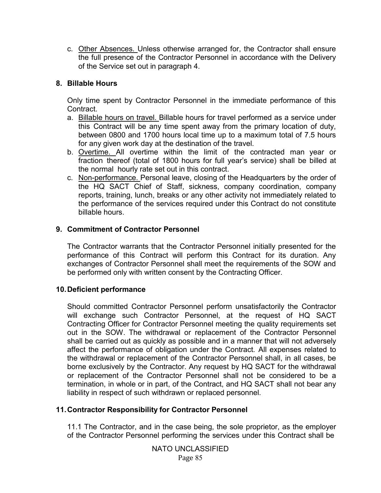c. Other Absences. Unless otherwise arranged for, the Contractor shall ensure the full presence of the Contractor Personnel in accordance with the Delivery of the Service set out in paragraph 4.

#### **8. Billable Hours**

Only time spent by Contractor Personnel in the immediate performance of this Contract.

- a. Billable hours on travel. Billable hours for travel performed as a service under this Contract will be any time spent away from the primary location of duty, between 0800 and 1700 hours local time up to a maximum total of 7.5 hours for any given work day at the destination of the travel.
- b. Overtime. All overtime within the limit of the contracted man year or fraction thereof (total of 1800 hours for full year's service) shall be billed at the normal hourly rate set out in this contract.
- c. Non-performance. Personal leave, closing of the Headquarters by the order of the HQ SACT Chief of Staff, sickness, company coordination, company reports, training, lunch, breaks or any other activity not immediately related to the performance of the services required under this Contract do not constitute billable hours.

#### **9. Commitment of Contractor Personnel**

The Contractor warrants that the Contractor Personnel initially presented for the performance of this Contract will perform this Contract for its duration. Any exchanges of Contractor Personnel shall meet the requirements of the SOW and be performed only with written consent by the Contracting Officer.

#### **10.Deficient performance**

Should committed Contractor Personnel perform unsatisfactorily the Contractor will exchange such Contractor Personnel, at the request of HQ SACT Contracting Officer for Contractor Personnel meeting the quality requirements set out in the SOW. The withdrawal or replacement of the Contractor Personnel shall be carried out as quickly as possible and in a manner that will not adversely affect the performance of obligation under the Contract. All expenses related to the withdrawal or replacement of the Contractor Personnel shall, in all cases, be borne exclusively by the Contractor. Any request by HQ SACT for the withdrawal or replacement of the Contractor Personnel shall not be considered to be a termination, in whole or in part, of the Contract, and HQ SACT shall not bear any liability in respect of such withdrawn or replaced personnel.

#### **11.Contractor Responsibility for Contractor Personnel**

11.1 The Contractor, and in the case being, the sole proprietor, as the employer of the Contractor Personnel performing the services under this Contract shall be

> NATO UNCLASSIFIED Page 85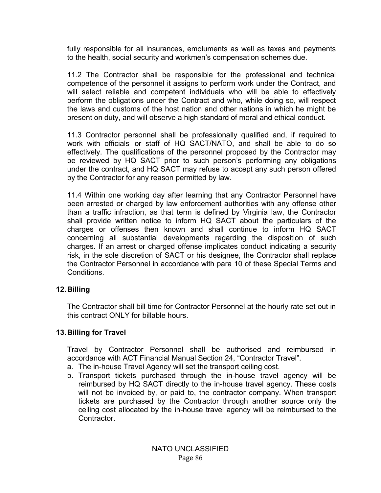fully responsible for all insurances, emoluments as well as taxes and payments to the health, social security and workmen's compensation schemes due.

11.2 The Contractor shall be responsible for the professional and technical competence of the personnel it assigns to perform work under the Contract, and will select reliable and competent individuals who will be able to effectively perform the obligations under the Contract and who, while doing so, will respect the laws and customs of the host nation and other nations in which he might be present on duty, and will observe a high standard of moral and ethical conduct.

11.3 Contractor personnel shall be professionally qualified and, if required to work with officials or staff of HQ SACT/NATO, and shall be able to do so effectively. The qualifications of the personnel proposed by the Contractor may be reviewed by HQ SACT prior to such person's performing any obligations under the contract, and HQ SACT may refuse to accept any such person offered by the Contractor for any reason permitted by law.

11.4 Within one working day after learning that any Contractor Personnel have been arrested or charged by law enforcement authorities with any offense other than a traffic infraction, as that term is defined by Virginia law, the Contractor shall provide written notice to inform HQ SACT about the particulars of the charges or offenses then known and shall continue to inform HQ SACT concerning all substantial developments regarding the disposition of such charges. If an arrest or charged offense implicates conduct indicating a security risk, in the sole discretion of SACT or his designee, the Contractor shall replace the Contractor Personnel in accordance with para 10 of these Special Terms and Conditions.

#### **12.Billing**

The Contractor shall bill time for Contractor Personnel at the hourly rate set out in this contract ONLY for billable hours.

#### **13.Billing for Travel**

Travel by Contractor Personnel shall be authorised and reimbursed in accordance with ACT Financial Manual Section 24, "Contractor Travel".

- a. The in-house Travel Agency will set the transport ceiling cost.
- b. Transport tickets purchased through the in-house travel agency will be reimbursed by HQ SACT directly to the in-house travel agency. These costs will not be invoiced by, or paid to, the contractor company. When transport tickets are purchased by the Contractor through another source only the ceiling cost allocated by the in-house travel agency will be reimbursed to the Contractor.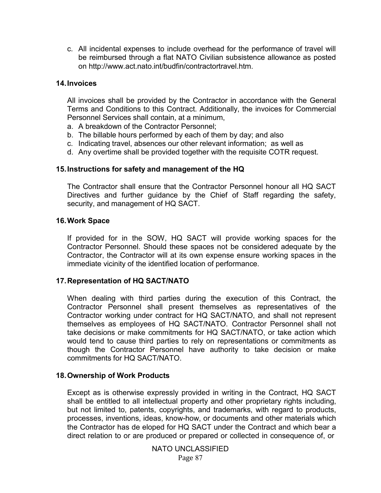c. All incidental expenses to include overhead for the performance of travel will be reimbursed through a flat NATO Civilian subsistence allowance as posted on [http://www.act.nato.int/budfin/contractortravel.htm.](http://www.act.nato.int/budfin/contractortravel.htm)

#### **14.Invoices**

All invoices shall be provided by the Contractor in accordance with the General Terms and Conditions to this Contract. Additionally, the invoices for Commercial Personnel Services shall contain, at a minimum,

- a. A breakdown of the Contractor Personnel;
- b. The billable hours performed by each of them by day; and also
- c. Indicating travel, absences our other relevant information; as well as
- d. Any overtime shall be provided together with the requisite COTR request.

#### **15.Instructions for safety and management of the HQ**

The Contractor shall ensure that the Contractor Personnel honour all HQ SACT Directives and further guidance by the Chief of Staff regarding the safety, security, and management of HQ SACT.

#### **16.Work Space**

If provided for in the SOW, HQ SACT will provide working spaces for the Contractor Personnel. Should these spaces not be considered adequate by the Contractor, the Contractor will at its own expense ensure working spaces in the immediate vicinity of the identified location of performance.

#### **17.Representation of HQ SACT/NATO**

When dealing with third parties during the execution of this Contract, the Contractor Personnel shall present themselves as representatives of the Contractor working under contract for HQ SACT/NATO, and shall not represent themselves as employees of HQ SACT/NATO. Contractor Personnel shall not take decisions or make commitments for HQ SACT/NATO, or take action which would tend to cause third parties to rely on representations or commitments as though the Contractor Personnel have authority to take decision or make commitments for HQ SACT/NATO.

#### **18.Ownership of Work Products**

Except as is otherwise expressly provided in writing in the Contract, HQ SACT shall be entitled to all intellectual property and other proprietary rights including, but not limited to, patents, copyrights, and trademarks, with regard to products, processes, inventions, ideas, know-how, or documents and other materials which the Contractor has de eloped for HQ SACT under the Contract and which bear a direct relation to or are produced or prepared or collected in consequence of, or

> NATO UNCLASSIFIED Page 87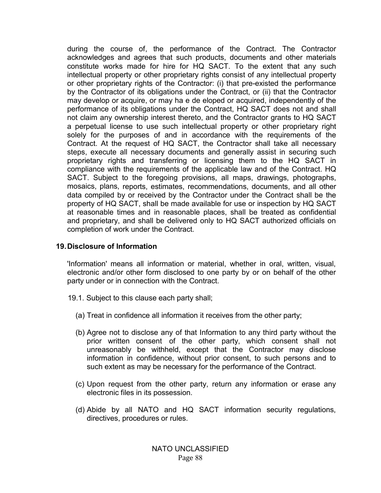during the course of, the performance of the Contract. The Contractor acknowledges and agrees that such products, documents and other materials constitute works made for hire for HQ SACT. To the extent that any such intellectual property or other proprietary rights consist of any intellectual property or other proprietary rights of the Contractor: (i) that pre-existed the performance by the Contractor of its obligations under the Contract, or (ii) that the Contractor may develop or acquire, or may ha e de eloped or acquired, independently of the performance of its obligations under the Contract, HQ SACT does not and shall not claim any ownership interest thereto, and the Contractor grants to HQ SACT a perpetual license to use such intellectual property or other proprietary right solely for the purposes of and in accordance with the requirements of the Contract. At the request of HQ SACT, the Contractor shall take all necessary steps, execute all necessary documents and generally assist in securing such proprietary rights and transferring or licensing them to the HQ SACT in compliance with the requirements of the applicable law and of the Contract. HQ SACT. Subject to the foregoing provisions, all maps, drawings, photographs, mosaics, plans, reports, estimates, recommendations, documents, and all other data compiled by or received by the Contractor under the Contract shall be the property of HQ SACT, shall be made available for use or inspection by HQ SACT at reasonable times and in reasonable places, shall be treated as confidential and proprietary, and shall be delivered only to HQ SACT authorized officials on completion of work under the Contract.

#### **19.Disclosure of Information**

'Information' means all information or material, whether in oral, written, visual, electronic and/or other form disclosed to one party by or on behalf of the other party under or in connection with the Contract.

- 19.1. Subject to this clause each party shall;
	- (a) Treat in confidence all information it receives from the other party;
	- (b) Agree not to disclose any of that Information to any third party without the prior written consent of the other party, which consent shall not unreasonably be withheld, except that the Contractor may disclose information in confidence, without prior consent, to such persons and to such extent as may be necessary for the performance of the Contract.
	- (c) Upon request from the other party, return any information or erase any electronic files in its possession.
	- (d) Abide by all NATO and HQ SACT information security regulations, directives, procedures or rules.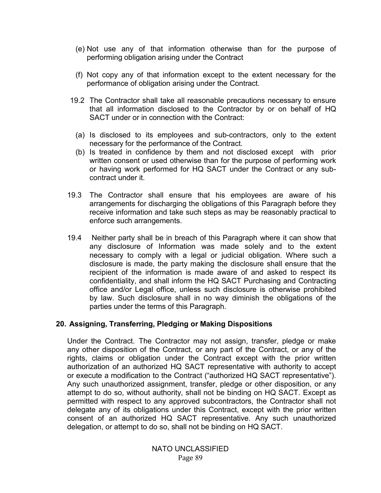- (e) Not use any of that information otherwise than for the purpose of performing obligation arising under the Contract
- (f) Not copy any of that information except to the extent necessary for the performance of obligation arising under the Contract.
- 19.2 The Contractor shall take all reasonable precautions necessary to ensure that all information disclosed to the Contractor by or on behalf of HQ SACT under or in connection with the Contract:
	- (a) Is disclosed to its employees and sub-contractors, only to the extent necessary for the performance of the Contract.
	- (b) Is treated in confidence by them and not disclosed except with prior written consent or used otherwise than for the purpose of performing work or having work performed for HQ SACT under the Contract or any subcontract under it.
- 19.3 The Contractor shall ensure that his employees are aware of his arrangements for discharging the obligations of this Paragraph before they receive information and take such steps as may be reasonably practical to enforce such arrangements.
- 19.4 Neither party shall be in breach of this Paragraph where it can show that any disclosure of Information was made solely and to the extent necessary to comply with a legal or judicial obligation. Where such a disclosure is made, the party making the disclosure shall ensure that the recipient of the information is made aware of and asked to respect its confidentiality, and shall inform the HQ SACT Purchasing and Contracting office and/or Legal office, unless such disclosure is otherwise prohibited by law. Such disclosure shall in no way diminish the obligations of the parties under the terms of this Paragraph.

#### **20. Assigning, Transferring, Pledging or Making Dispositions**

Under the Contract. The Contractor may not assign, transfer, pledge or make any other disposition of the Contract, or any part of the Contract, or any of the rights, claims or obligation under the Contract except with the prior written authorization of an authorized HQ SACT representative with authority to accept or execute a modification to the Contract ("authorized HQ SACT representative"). Any such unauthorized assignment, transfer, pledge or other disposition, or any attempt to do so, without authority, shall not be binding on HQ SACT. Except as permitted with respect to any approved subcontractors, the Contractor shall not delegate any of its obligations under this Contract, except with the prior written consent of an authorized HQ SACT representative. Any such unauthorized delegation, or attempt to do so, shall not be binding on HQ SACT.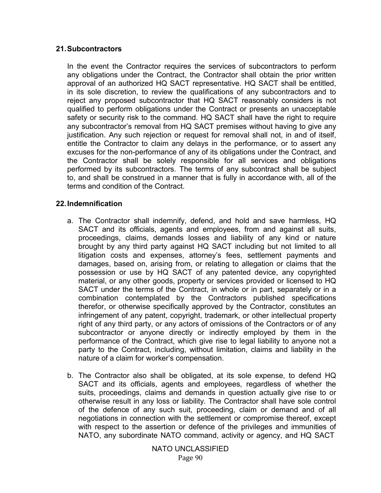#### **21.Subcontractors**

In the event the Contractor requires the services of subcontractors to perform any obligations under the Contract, the Contractor shall obtain the prior written approval of an authorized HQ SACT representative. HQ SACT shall be entitled, in its sole discretion, to review the qualifications of any subcontractors and to reject any proposed subcontractor that HQ SACT reasonably considers is not qualified to perform obligations under the Contract or presents an unacceptable safety or security risk to the command. HQ SACT shall have the right to require any subcontractor's removal from HQ SACT premises without having to give any justification. Any such rejection or request for removal shall not, in and of itself, entitle the Contractor to claim any delays in the performance, or to assert any excuses for the non-performance of any of its obligations under the Contract, and the Contractor shall be solely responsible for all services and obligations performed by its subcontractors. The terms of any subcontract shall be subject to, and shall be construed in a manner that is fully in accordance with, all of the terms and condition of the Contract.

#### **22.Indemnification**

- a. The Contractor shall indemnify, defend, and hold and save harmless, HQ SACT and its officials, agents and employees, from and against all suits, proceedings, claims, demands losses and liability of any kind or nature brought by any third party against HQ SACT including but not limited to all litigation costs and expenses, attorney's fees, settlement payments and damages, based on, arising from, or relating to allegation or claims that the possession or use by HQ SACT of any patented device, any copyrighted material, or any other goods, property or services provided or licensed to HQ SACT under the terms of the Contract, in whole or in part, separately or in a combination contemplated by the Contractors published specifications therefor, or otherwise specifically approved by the Contractor, constitutes an infringement of any patent, copyright, trademark, or other intellectual property right of any third party, or any actors of omissions of the Contractors or of any subcontractor or anyone directly or indirectly employed by them in the performance of the Contract, which give rise to legal liability to anyone not a party to the Contract, including, without limitation, claims and liability in the nature of a claim for worker's compensation.
- b. The Contractor also shall be obligated, at its sole expense, to defend HQ SACT and its officials, agents and employees, regardless of whether the suits, proceedings, claims and demands in question actually give rise to or otherwise result in any loss or liability. The Contractor shall have sole control of the defence of any such suit, proceeding, claim or demand and of all negotiations in connection with the settlement or compromise thereof, except with respect to the assertion or defence of the privileges and immunities of NATO, any subordinate NATO command, activity or agency, and HQ SACT

NATO UNCLASSIFIED Page 90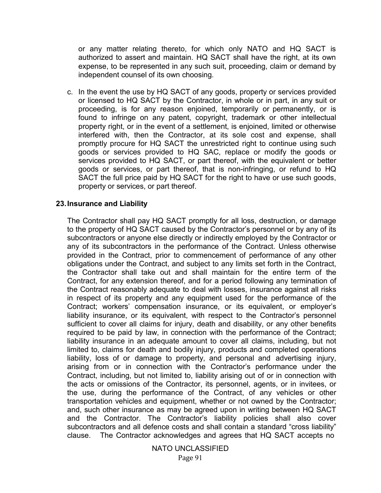or any matter relating thereto, for which only NATO and HQ SACT is authorized to assert and maintain. HQ SACT shall have the right, at its own expense, to be represented in any such suit, proceeding, claim or demand by independent counsel of its own choosing.

c. In the event the use by HQ SACT of any goods, property or services provided or licensed to HQ SACT by the Contractor, in whole or in part, in any suit or proceeding, is for any reason enjoined, temporarily or permanently, or is found to infringe on any patent, copyright, trademark or other intellectual property right, or in the event of a settlement, is enjoined, limited or otherwise interfered with, then the Contractor, at its sole cost and expense, shall promptly procure for HQ SACT the unrestricted right to continue using such goods or services provided to HQ SAC, replace or modify the goods or services provided to HQ SACT, or part thereof, with the equivalent or better goods or services, or part thereof, that is non-infringing, or refund to HQ SACT the full price paid by HQ SACT for the right to have or use such goods, property or services, or part thereof.

#### **23.Insurance and Liability**

The Contractor shall pay HQ SACT promptly for all loss, destruction, or damage to the property of HQ SACT caused by the Contractor's personnel or by any of its subcontractors or anyone else directly or indirectly employed by the Contractor or any of its subcontractors in the performance of the Contract. Unless otherwise provided in the Contract, prior to commencement of performance of any other obligations under the Contract, and subject to any limits set forth in the Contract, the Contractor shall take out and shall maintain for the entire term of the Contract, for any extension thereof, and for a period following any termination of the Contract reasonably adequate to deal with losses, insurance against all risks in respect of its property and any equipment used for the performance of the Contract; workers' compensation insurance, or its equivalent, or employer's liability insurance, or its equivalent, with respect to the Contractor's personnel sufficient to cover all claims for injury, death and disability, or any other benefits required to be paid by law, in connection with the performance of the Contract; liability insurance in an adequate amount to cover all claims, including, but not limited to, claims for death and bodily injury, products and completed operations liability, loss of or damage to property, and personal and advertising injury, arising from or in connection with the Contractor's performance under the Contract, including, but not limited to, liability arising out of or in connection with the acts or omissions of the Contractor, its personnel, agents, or in invitees, or the use, during the performance of the Contract, of any vehicles or other transportation vehicles and equipment, whether or not owned by the Contractor; and, such other insurance as may be agreed upon in writing between HQ SACT and the Contractor. The Contractor's liability policies shall also cover subcontractors and all defence costs and shall contain a standard "cross liability" clause. The Contractor acknowledges and agrees that HQ SACT accepts no

> Page 91 NATO UNCLASSIFIED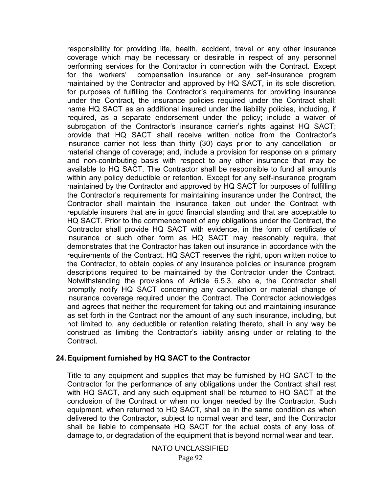responsibility for providing life, health, accident, travel or any other insurance coverage which may be necessary or desirable in respect of any personnel performing services for the Contractor in connection with the Contract. Except for the workers' compensation insurance or any self-insurance program maintained by the Contractor and approved by HQ SACT, in its sole discretion, for purposes of fulfilling the Contractor's requirements for providing insurance under the Contract, the insurance policies required under the Contract shall: name HQ SACT as an additional insured under the liability policies, including, if required, as a separate endorsement under the policy; include a waiver of subrogation of the Contractor's insurance carrier's rights against HQ SACT; provide that HQ SACT shall receive written notice from the Contractor's insurance carrier not less than thirty (30) days prior to any cancellation or material change of coverage; and, include a provision for response on a primary and non-contributing basis with respect to any other insurance that may be available to HQ SACT. The Contractor shall be responsible to fund all amounts within any policy deductible or retention. Except for any self-insurance program maintained by the Contractor and approved by HQ SACT for purposes of fulfilling the Contractor's requirements for maintaining insurance under the Contract, the Contractor shall maintain the insurance taken out under the Contract with reputable insurers that are in good financial standing and that are acceptable to HQ SACT. Prior to the commencement of any obligations under the Contract, the Contractor shall provide HQ SACT with evidence, in the form of certificate of insurance or such other form as HQ SACT may reasonably require, that demonstrates that the Contractor has taken out insurance in accordance with the requirements of the Contract. HQ SACT reserves the right, upon written notice to the Contractor, to obtain copies of any insurance policies or insurance program descriptions required to be maintained by the Contractor under the Contract. Notwithstanding the provisions of Article 6.5.3, abo e, the Contractor shall promptly notify HQ SACT concerning any cancellation or material change of insurance coverage required under the Contract. The Contractor acknowledges and agrees that neither the requirement for taking out and maintaining insurance as set forth in the Contract nor the amount of any such insurance, including, but not limited to, any deductible or retention relating thereto, shall in any way be construed as limiting the Contractor's liability arising under or relating to the Contract.

#### **24.Equipment furnished by HQ SACT to the Contractor**

Title to any equipment and supplies that may be furnished by HQ SACT to the Contractor for the performance of any obligations under the Contract shall rest with HQ SACT, and any such equipment shall be returned to HQ SACT at the conclusion of the Contract or when no longer needed by the Contractor. Such equipment, when returned to HQ SACT, shall be in the same condition as when delivered to the Contractor, subject to normal wear and tear, and the Contractor shall be liable to compensate HQ SACT for the actual costs of any loss of, damage to, or degradation of the equipment that is beyond normal wear and tear.

> Page 92 NATO UNCLASSIFIED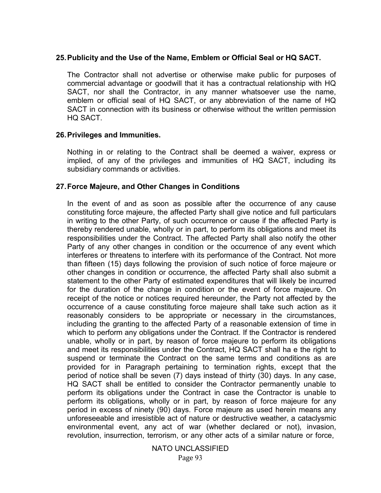#### **25.Publicity and the Use of the Name, Emblem or Official Seal or HQ SACT.**

The Contractor shall not advertise or otherwise make public for purposes of commercial advantage or goodwill that it has a contractual relationship with HQ SACT, nor shall the Contractor, in any manner whatsoever use the name, emblem or official seal of HQ SACT, or any abbreviation of the name of HQ SACT in connection with its business or otherwise without the written permission HQ SACT.

#### **26.Privileges and Immunities.**

Nothing in or relating to the Contract shall be deemed a waiver, express or implied, of any of the privileges and immunities of HQ SACT, including its subsidiary commands or activities.

#### **27.Force Majeure, and Other Changes in Conditions**

In the event of and as soon as possible after the occurrence of any cause constituting force majeure, the affected Party shall give notice and full particulars in writing to the other Party, of such occurrence or cause if the affected Party is thereby rendered unable, wholly or in part, to perform its obligations and meet its responsibilities under the Contract. The affected Party shall also notify the other Party of any other changes in condition or the occurrence of any event which interferes or threatens to interfere with its performance of the Contract. Not more than fifteen (15) days following the provision of such notice of force majeure or other changes in condition or occurrence, the affected Party shall also submit a statement to the other Party of estimated expenditures that will likely be incurred for the duration of the change in condition or the event of force majeure. On receipt of the notice or notices required hereunder, the Party not affected by the occurrence of a cause constituting force majeure shall take such action as it reasonably considers to be appropriate or necessary in the circumstances, including the granting to the affected Party of a reasonable extension of time in which to perform any obligations under the Contract. If the Contractor is rendered unable, wholly or in part, by reason of force majeure to perform its obligations and meet its responsibilities under the Contract, HQ SACT shall ha e the right to suspend or terminate the Contract on the same terms and conditions as are provided for in Paragraph pertaining to termination rights, except that the period of notice shall be seven (7) days instead of thirty (30) days. In any case, HQ SACT shall be entitled to consider the Contractor permanently unable to perform its obligations under the Contract in case the Contractor is unable to perform its obligations, wholly or in part, by reason of force majeure for any period in excess of ninety (90) days. Force majeure as used herein means any unforeseeable and irresistible act of nature or destructive weather, a cataclysmic environmental event, any act of war (whether declared or not), invasion, revolution, insurrection, terrorism, or any other acts of a similar nature or force,

> Page 93 NATO UNCLASSIFIED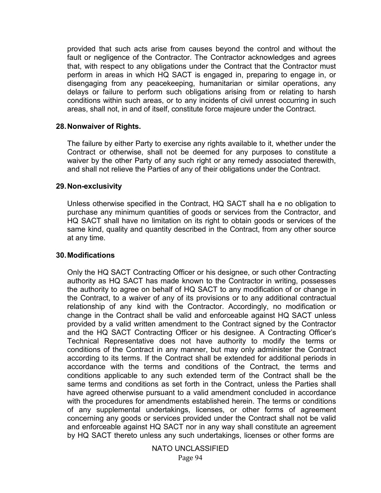provided that such acts arise from causes beyond the control and without the fault or negligence of the Contractor. The Contractor acknowledges and agrees that, with respect to any obligations under the Contract that the Contractor must perform in areas in which HQ SACT is engaged in, preparing to engage in, or disengaging from any peacekeeping, humanitarian or similar operations, any delays or failure to perform such obligations arising from or relating to harsh conditions within such areas, or to any incidents of civil unrest occurring in such areas, shall not, in and of itself, constitute force majeure under the Contract.

#### **28.Nonwaiver of Rights.**

The failure by either Party to exercise any rights available to it, whether under the Contract or otherwise, shall not be deemed for any purposes to constitute a waiver by the other Party of any such right or any remedy associated therewith, and shall not relieve the Parties of any of their obligations under the Contract.

#### **29.Non-exclusivity**

Unless otherwise specified in the Contract, HQ SACT shall ha e no obligation to purchase any minimum quantities of goods or services from the Contractor, and HQ SACT shall have no limitation on its right to obtain goods or services of the same kind, quality and quantity described in the Contract, from any other source at any time.

#### **30.Modifications**

Only the HQ SACT Contracting Officer or his designee, or such other Contracting authority as HQ SACT has made known to the Contractor in writing, possesses the authority to agree on behalf of HQ SACT to any modification of or change in the Contract, to a waiver of any of its provisions or to any additional contractual relationship of any kind with the Contractor. Accordingly, no modification or change in the Contract shall be valid and enforceable against HQ SACT unless provided by a valid written amendment to the Contract signed by the Contractor and the HQ SACT Contracting Officer or his designee. A Contracting Officer's Technical Representative does not have authority to modify the terms or conditions of the Contract in any manner, but may only administer the Contract according to its terms. If the Contract shall be extended for additional periods in accordance with the terms and conditions of the Contract, the terms and conditions applicable to any such extended term of the Contract shall be the same terms and conditions as set forth in the Contract, unless the Parties shall have agreed otherwise pursuant to a valid amendment concluded in accordance with the procedures for amendments established herein. The terms or conditions of any supplemental undertakings, licenses, or other forms of agreement concerning any goods or services provided under the Contract shall not be valid and enforceable against HQ SACT nor in any way shall constitute an agreement by HQ SACT thereto unless any such undertakings, licenses or other forms are

> Page 94 NATO UNCLASSIFIED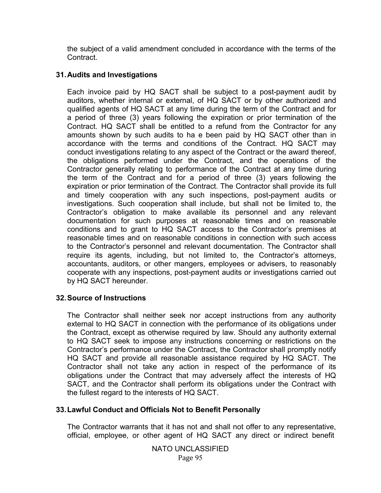the subject of a valid amendment concluded in accordance with the terms of the Contract.

## **31.Audits and Investigations**

Each invoice paid by HQ SACT shall be subject to a post-payment audit by auditors, whether internal or external, of HQ SACT or by other authorized and qualified agents of HQ SACT at any time during the term of the Contract and for a period of three (3) years following the expiration or prior termination of the Contract. HQ SACT shall be entitled to a refund from the Contractor for any amounts shown by such audits to ha e been paid by HQ SACT other than in accordance with the terms and conditions of the Contract. HQ SACT may conduct investigations relating to any aspect of the Contract or the award thereof, the obligations performed under the Contract, and the operations of the Contractor generally relating to performance of the Contract at any time during the term of the Contract and for a period of three (3) years following the expiration or prior termination of the Contract. The Contractor shall provide its full and timely cooperation with any such inspections, post-payment audits or investigations. Such cooperation shall include, but shall not be limited to, the Contractor's obligation to make available its personnel and any relevant documentation for such purposes at reasonable times and on reasonable conditions and to grant to HQ SACT access to the Contractor's premises at reasonable times and on reasonable conditions in connection with such access to the Contractor's personnel and relevant documentation. The Contractor shall require its agents, including, but not limited to, the Contractor's attorneys, accountants, auditors, or other mangers, employees or advisers, to reasonably cooperate with any inspections, post-payment audits or investigations carried out by HQ SACT hereunder.

#### **32.Source of Instructions**

The Contractor shall neither seek nor accept instructions from any authority external to HQ SACT in connection with the performance of its obligations under the Contract, except as otherwise required by law. Should any authority external to HQ SACT seek to impose any instructions concerning or restrictions on the Contractor's performance under the Contract, the Contractor shall promptly notify HQ SACT and provide all reasonable assistance required by HQ SACT. The Contractor shall not take any action in respect of the performance of its obligations under the Contract that may adversely affect the interests of HQ SACT, and the Contractor shall perform its obligations under the Contract with the fullest regard to the interests of HQ SACT.

#### **33.Lawful Conduct and Officials Not to Benefit Personally**

The Contractor warrants that it has not and shall not offer to any representative, official, employee, or other agent of HQ SACT any direct or indirect benefit

> NATO UNCLASSIFIED Page 95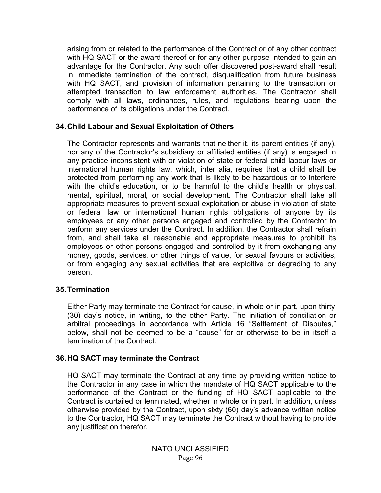arising from or related to the performance of the Contract or of any other contract with HQ SACT or the award thereof or for any other purpose intended to gain an advantage for the Contractor. Any such offer discovered post-award shall result in immediate termination of the contract, disqualification from future business with HQ SACT, and provision of information pertaining to the transaction or attempted transaction to law enforcement authorities. The Contractor shall comply with all laws, ordinances, rules, and regulations bearing upon the performance of its obligations under the Contract.

#### **34.Child Labour and Sexual Exploitation of Others**

The Contractor represents and warrants that neither it, its parent entities (if any), nor any of the Contractor's subsidiary or affiliated entities (if any) is engaged in any practice inconsistent with or violation of state or federal child labour laws or international human rights law, which, inter alia, requires that a child shall be protected from performing any work that is likely to be hazardous or to interfere with the child's education, or to be harmful to the child's health or physical, mental, spiritual, moral, or social development. The Contractor shall take all appropriate measures to prevent sexual exploitation or abuse in violation of state or federal law or international human rights obligations of anyone by its employees or any other persons engaged and controlled by the Contractor to perform any services under the Contract. In addition, the Contractor shall refrain from, and shall take all reasonable and appropriate measures to prohibit its employees or other persons engaged and controlled by it from exchanging any money, goods, services, or other things of value, for sexual favours or activities, or from engaging any sexual activities that are exploitive or degrading to any person.

#### **35.Termination**

Either Party may terminate the Contract for cause, in whole or in part, upon thirty (30) day's notice, in writing, to the other Party. The initiation of conciliation or arbitral proceedings in accordance with Article 16 "Settlement of Disputes," below, shall not be deemed to be a "cause" for or otherwise to be in itself a termination of the Contract.

#### **36.HQ SACT may terminate the Contract**

HQ SACT may terminate the Contract at any time by providing written notice to the Contractor in any case in which the mandate of HQ SACT applicable to the performance of the Contract or the funding of HQ SACT applicable to the Contract is curtailed or terminated, whether in whole or in part. In addition, unless otherwise provided by the Contract, upon sixty (60) day's advance written notice to the Contractor, HQ SACT may terminate the Contract without having to pro ide any justification therefor.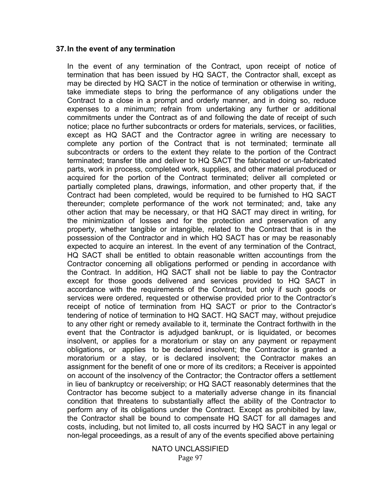#### **37.In the event of any termination**

In the event of any termination of the Contract, upon receipt of notice of termination that has been issued by HQ SACT, the Contractor shall, except as may be directed by HQ SACT in the notice of termination or otherwise in writing, take immediate steps to bring the performance of any obligations under the Contract to a close in a prompt and orderly manner, and in doing so, reduce expenses to a minimum; refrain from undertaking any further or additional commitments under the Contract as of and following the date of receipt of such notice; place no further subcontracts or orders for materials, services, or facilities, except as HQ SACT and the Contractor agree in writing are necessary to complete any portion of the Contract that is not terminated; terminate all subcontracts or orders to the extent they relate to the portion of the Contract terminated; transfer title and deliver to HQ SACT the fabricated or un-fabricated parts, work in process, completed work, supplies, and other material produced or acquired for the portion of the Contract terminated; deliver all completed or partially completed plans, drawings, information, and other property that, if the Contract had been completed, would be required to be furnished to HQ SACT thereunder; complete performance of the work not terminated; and, take any other action that may be necessary, or that HQ SACT may direct in writing, for the minimization of losses and for the protection and preservation of any property, whether tangible or intangible, related to the Contract that is in the possession of the Contractor and in which HQ SACT has or may be reasonably expected to acquire an interest. In the event of any termination of the Contract, HQ SACT shall be entitled to obtain reasonable written accountings from the Contractor concerning all obligations performed or pending in accordance with the Contract. In addition, HQ SACT shall not be liable to pay the Contractor except for those goods delivered and services provided to HQ SACT in accordance with the requirements of the Contract, but only if such goods or services were ordered, requested or otherwise provided prior to the Contractor's receipt of notice of termination from HQ SACT or prior to the Contractor's tendering of notice of termination to HQ SACT. HQ SACT may, without prejudice to any other right or remedy available to it, terminate the Contract forthwith in the event that the Contractor is adjudged bankrupt, or is liquidated, or becomes insolvent, or applies for a moratorium or stay on any payment or repayment obligations, or applies to be declared insolvent; the Contractor is granted a moratorium or a stay, or is declared insolvent; the Contractor makes an assignment for the benefit of one or more of its creditors; a Receiver is appointed on account of the insolvency of the Contractor; the Contractor offers a settlement in lieu of bankruptcy or receivership; or HQ SACT reasonably determines that the Contractor has become subject to a materially adverse change in its financial condition that threatens to substantially affect the ability of the Contractor to perform any of its obligations under the Contract. Except as prohibited by law, the Contractor shall be bound to compensate HQ SACT for all damages and costs, including, but not limited to, all costs incurred by HQ SACT in any legal or non-legal proceedings, as a result of any of the events specified above pertaining

> NATO UNCLASSIFIED Page 97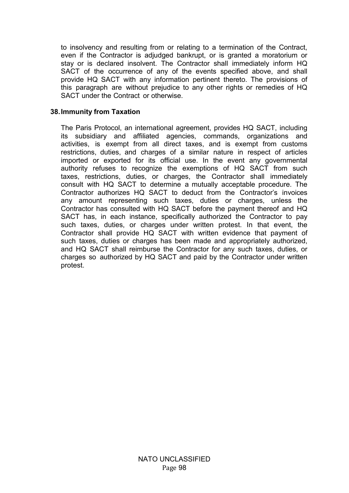to insolvency and resulting from or relating to a termination of the Contract, even if the Contractor is adjudged bankrupt, or is granted a moratorium or stay or is declared insolvent. The Contractor shall immediately inform HQ SACT of the occurrence of any of the events specified above, and shall provide HQ SACT with any information pertinent thereto. The provisions of this paragraph are without prejudice to any other rights or remedies of HQ SACT under the Contract or otherwise.

#### **38.Immunity from Taxation**

The Paris Protocol, an international agreement, provides HQ SACT, including its subsidiary and affiliated agencies, commands, organizations and activities, is exempt from all direct taxes, and is exempt from customs restrictions, duties, and charges of a similar nature in respect of articles imported or exported for its official use. In the event any governmental authority refuses to recognize the exemptions of HQ SACT from such taxes, restrictions, duties, or charges, the Contractor shall immediately consult with HQ SACT to determine a mutually acceptable procedure. The Contractor authorizes HQ SACT to deduct from the Contractor's invoices any amount representing such taxes, duties or charges, unless the Contractor has consulted with HQ SACT before the payment thereof and HQ SACT has, in each instance, specifically authorized the Contractor to pay such taxes, duties, or charges under written protest. In that event, the Contractor shall provide HQ SACT with written evidence that payment of such taxes, duties or charges has been made and appropriately authorized, and HQ SACT shall reimburse the Contractor for any such taxes, duties, or charges so authorized by HQ SACT and paid by the Contractor under written protest.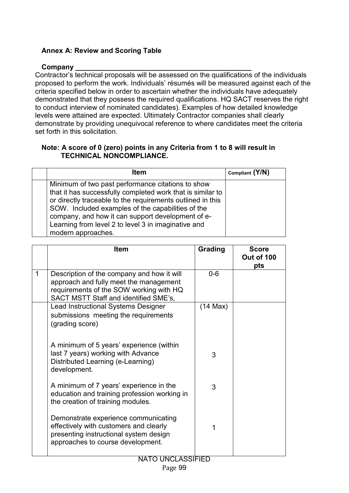# **Annex A: Review and Scoring Table**

# **Company \_\_\_\_\_\_\_\_\_\_\_\_\_\_\_\_\_\_\_\_\_\_\_\_\_\_\_\_\_\_\_\_\_\_\_\_\_\_\_\_\_\_\_\_\_**

Contractor's technical proposals will be assessed on the qualifications of the individuals proposed to perform the work. Individuals' résumés will be measured against each of the criteria specified below in order to ascertain whether the individuals have adequately demonstrated that they possess the required qualifications. HQ SACT reserves the right to conduct interview of nominated candidates). Examples of how detailed knowledge levels were attained are expected. Ultimately Contractor companies shall clearly demonstrate by providing unequivocal reference to where candidates meet the criteria set forth in this solicitation.

# **Note: A score of 0 (zero) points in any Criteria from 1 to 8 will result in TECHNICAL NONCOMPLIANCE.**

| <b>Item</b>                                                                                                                                                                                                                                                                                                                                                          | Compliant (Y/N) |
|----------------------------------------------------------------------------------------------------------------------------------------------------------------------------------------------------------------------------------------------------------------------------------------------------------------------------------------------------------------------|-----------------|
| Minimum of two past performance citations to show<br>that it has successfully completed work that is similar to<br>or directly traceable to the requirements outlined in this<br>SOW. Included examples of the capabilities of the<br>company, and how it can support development of e-<br>Learning from level 2 to level 3 in imaginative and<br>modern approaches. |                 |

|   | <b>Item</b>                                                                                                                                                              | Grading    | <b>Score</b><br>Out of 100<br>pts |
|---|--------------------------------------------------------------------------------------------------------------------------------------------------------------------------|------------|-----------------------------------|
| 1 | Description of the company and how it will<br>approach and fully meet the management<br>requirements of the SOW working with HQ<br>SACT MSTT Staff and identified SME's, | $0 - 6$    |                                   |
|   | Lead Instructional Systems Designer<br>submissions meeting the requirements<br>(grading score)                                                                           | $(14$ Max) |                                   |
|   | A minimum of 5 years' experience (within<br>last 7 years) working with Advance<br>Distributed Learning (e-Learning)<br>development.                                      | 3          |                                   |
|   | A minimum of 7 years' experience in the<br>education and training profession working in<br>the creation of training modules.                                             | 3          |                                   |
|   | Demonstrate experience communicating<br>effectively with customers and clearly<br>presenting instructional system design<br>approaches to course development.            | 1          |                                   |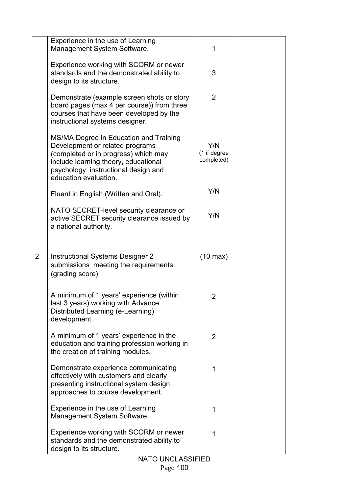|                | Experience in the use of Learning<br>Management System Software.                                                                                                                                                           | 1                                 |  |
|----------------|----------------------------------------------------------------------------------------------------------------------------------------------------------------------------------------------------------------------------|-----------------------------------|--|
|                | Experience working with SCORM or newer<br>standards and the demonstrated ability to<br>design to its structure.                                                                                                            | 3                                 |  |
|                | Demonstrate (example screen shots or story<br>board pages (max 4 per course)) from three<br>courses that have been developed by the<br>instructional systems designer.                                                     | $\overline{2}$                    |  |
|                | MS/MA Degree in Education and Training<br>Development or related programs<br>(completed or in progress) which may<br>include learning theory, educational<br>psychology, instructional design and<br>education evaluation. | Y/N<br>(1 if degree<br>completed) |  |
|                | Fluent in English (Written and Oral).                                                                                                                                                                                      | Y/N                               |  |
|                | NATO SECRET-level security clearance or<br>active SECRET security clearance issued by<br>a national authority.                                                                                                             | Y/N                               |  |
|                |                                                                                                                                                                                                                            |                                   |  |
| $\overline{2}$ | Instructional Systems Designer 2<br>submissions meeting the requirements<br>(grading score)                                                                                                                                | $(10 \text{ max})$                |  |
|                | A minimum of 1 years' experience (within<br>last 3 years) working with Advance<br>Distributed Learning (e-Learning)<br>development.                                                                                        | 2                                 |  |
|                | A minimum of 1 years' experience in the<br>education and training profession working in<br>the creation of training modules.                                                                                               | $\overline{2}$                    |  |
|                | Demonstrate experience communicating<br>effectively with customers and clearly<br>presenting instructional system design<br>approaches to course development.                                                              | 1                                 |  |
|                | Experience in the use of Learning<br>Management System Software.                                                                                                                                                           | 1                                 |  |
|                | Experience working with SCORM or newer<br>standards and the demonstrated ability to<br>design to its structure.                                                                                                            | 1                                 |  |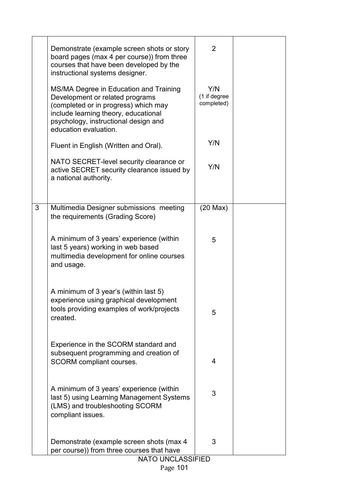|   | Demonstrate (example screen shots or story<br>board pages (max 4 per course)) from three<br>courses that have been developed by the<br>instructional systems designer.                                                     | 2                                 |  |
|---|----------------------------------------------------------------------------------------------------------------------------------------------------------------------------------------------------------------------------|-----------------------------------|--|
|   | MS/MA Degree in Education and Training<br>Development or related programs<br>(completed or in progress) which may<br>include learning theory, educational<br>psychology, instructional design and<br>education evaluation. | Y/N<br>(1 if degree<br>completed) |  |
|   | Fluent in English (Written and Oral).                                                                                                                                                                                      | Y/N                               |  |
|   | NATO SECRET-level security clearance or<br>active SECRET security clearance issued by<br>a national authority.                                                                                                             | Y/N                               |  |
|   |                                                                                                                                                                                                                            |                                   |  |
| 3 | Multimedia Designer submissions meeting<br>the requirements (Grading Score)                                                                                                                                                | $(20$ Max $)$                     |  |
|   | A minimum of 3 years' experience (within<br>last 5 years) working in web based<br>multimedia development for online courses<br>and usage.                                                                                  | 5                                 |  |
|   | A minimum of 3 year's (within last 5)<br>experience using graphical development<br>tools providing examples of work/projects<br>created.                                                                                   | 5                                 |  |
|   | Experience in the SCORM standard and<br>subsequent programming and creation of<br><b>SCORM</b> compliant courses.                                                                                                          | 4                                 |  |
|   | A minimum of 3 years' experience (within<br>last 5) using Learning Management Systems<br>(LMS) and troubleshooting SCORM<br>compliant issues.                                                                              | 3                                 |  |
|   | Demonstrate (example screen shots (max 4)<br>per course)) from three courses that have<br><b>NATO UNCLASSIFIED</b>                                                                                                         | 3                                 |  |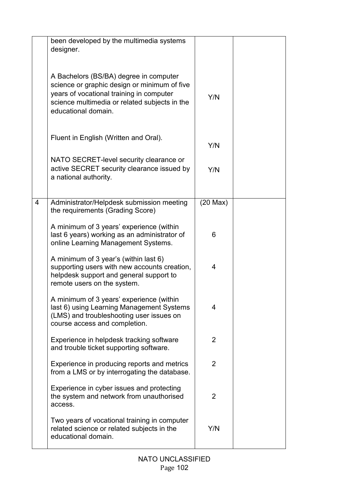|                | been developed by the multimedia systems<br>designer.                                                                                                                                                      |                |  |
|----------------|------------------------------------------------------------------------------------------------------------------------------------------------------------------------------------------------------------|----------------|--|
|                | A Bachelors (BS/BA) degree in computer<br>science or graphic design or minimum of five<br>years of vocational training in computer<br>science multimedia or related subjects in the<br>educational domain. | Y/N            |  |
|                | Fluent in English (Written and Oral).                                                                                                                                                                      | Y/N            |  |
|                | NATO SECRET-level security clearance or<br>active SECRET security clearance issued by<br>a national authority.                                                                                             | Y/N            |  |
| $\overline{4}$ | Administrator/Helpdesk submission meeting<br>the requirements (Grading Score)                                                                                                                              | $(20$ Max $)$  |  |
|                | A minimum of 3 years' experience (within<br>last 6 years) working as an administrator of<br>online Learning Management Systems.                                                                            | 6              |  |
|                | A minimum of 3 year's (within last 6)<br>supporting users with new accounts creation,<br>helpdesk support and general support to<br>remote users on the system.                                            | 4              |  |
|                | A minimum of 3 years' experience (within<br>last 6) using Learning Management Systems<br>(LMS) and troubleshooting user issues on<br>course access and completion.                                         | 4              |  |
|                | Experience in helpdesk tracking software<br>and trouble ticket supporting software.                                                                                                                        | $\overline{2}$ |  |
|                | Experience in producing reports and metrics<br>from a LMS or by interrogating the database.                                                                                                                | 2              |  |
|                | Experience in cyber issues and protecting<br>the system and network from unauthorised<br>access.                                                                                                           | $\overline{2}$ |  |
|                | Two years of vocational training in computer<br>related science or related subjects in the<br>educational domain.                                                                                          | Y/N            |  |